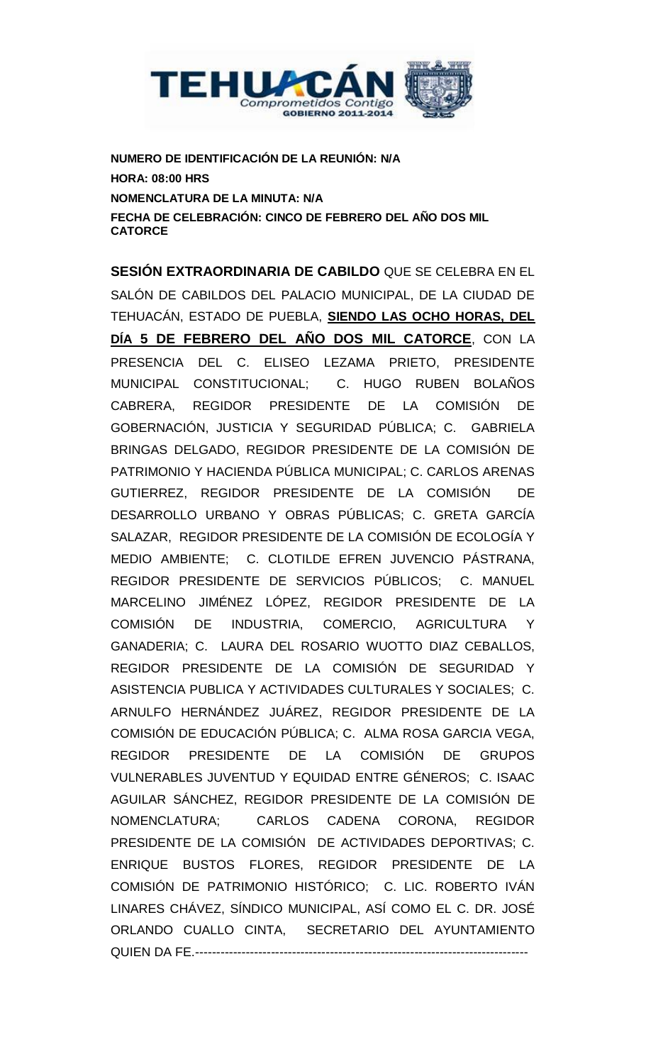

**NUMERO DE IDENTIFICACIÓN DE LA REUNIÓN: N/A HORA: 08:00 HRS NOMENCLATURA DE LA MINUTA: N/A FECHA DE CELEBRACIÓN: CINCO DE FEBRERO DEL AÑO DOS MIL CATORCE**

**SESIÓN EXTRAORDINARIA DE CABILDO** QUE SE CELEBRA EN EL SALÓN DE CABILDOS DEL PALACIO MUNICIPAL, DE LA CIUDAD DE TEHUACÁN, ESTADO DE PUEBLA, **SIENDO LAS OCHO HORAS, DEL DÍA 5 DE FEBRERO DEL AÑO DOS MIL CATORCE**, CON LA PRESENCIA DEL C. ELISEO LEZAMA PRIETO, PRESIDENTE MUNICIPAL CONSTITUCIONAL; C. HUGO RUBEN BOLAÑOS CABRERA, REGIDOR PRESIDENTE DE LA COMISIÓN DE GOBERNACIÓN, JUSTICIA Y SEGURIDAD PÚBLICA; C. GABRIELA BRINGAS DELGADO, REGIDOR PRESIDENTE DE LA COMISIÓN DE PATRIMONIO Y HACIENDA PÚBLICA MUNICIPAL; C. CARLOS ARENAS GUTIERREZ, REGIDOR PRESIDENTE DE LA COMISIÓN DE DESARROLLO URBANO Y OBRAS PÚBLICAS; C. GRETA GARCÍA SALAZAR, REGIDOR PRESIDENTE DE LA COMISIÓN DE ECOLOGÍA Y MEDIO AMBIENTE; C. CLOTILDE EFREN JUVENCIO PÁSTRANA, REGIDOR PRESIDENTE DE SERVICIOS PÚBLICOS; C. MANUEL MARCELINO JIMÉNEZ LÓPEZ, REGIDOR PRESIDENTE DE LA COMISIÓN DE INDUSTRIA, COMERCIO, AGRICULTURA Y GANADERIA; C. LAURA DEL ROSARIO WUOTTO DIAZ CEBALLOS, REGIDOR PRESIDENTE DE LA COMISIÓN DE SEGURIDAD Y ASISTENCIA PUBLICA Y ACTIVIDADES CULTURALES Y SOCIALES; C. ARNULFO HERNÁNDEZ JUÁREZ, REGIDOR PRESIDENTE DE LA COMISIÓN DE EDUCACIÓN PÚBLICA; C. ALMA ROSA GARCIA VEGA, REGIDOR PRESIDENTE DE LA COMISIÓN DE GRUPOS VULNERABLES JUVENTUD Y EQUIDAD ENTRE GÉNEROS; C. ISAAC AGUILAR SÁNCHEZ, REGIDOR PRESIDENTE DE LA COMISIÓN DE NOMENCLATURA; CARLOS CADENA CORONA, REGIDOR PRESIDENTE DE LA COMISIÓN DE ACTIVIDADES DEPORTIVAS; C. ENRIQUE BUSTOS FLORES, REGIDOR PRESIDENTE DE LA COMISIÓN DE PATRIMONIO HISTÓRICO; C. LIC. ROBERTO IVÁN LINARES CHÁVEZ, SÍNDICO MUNICIPAL, ASÍ COMO EL C. DR. JOSÉ ORLANDO CUALLO CINTA, SECRETARIO DEL AYUNTAMIENTO QUIEN DA FE.-------------------------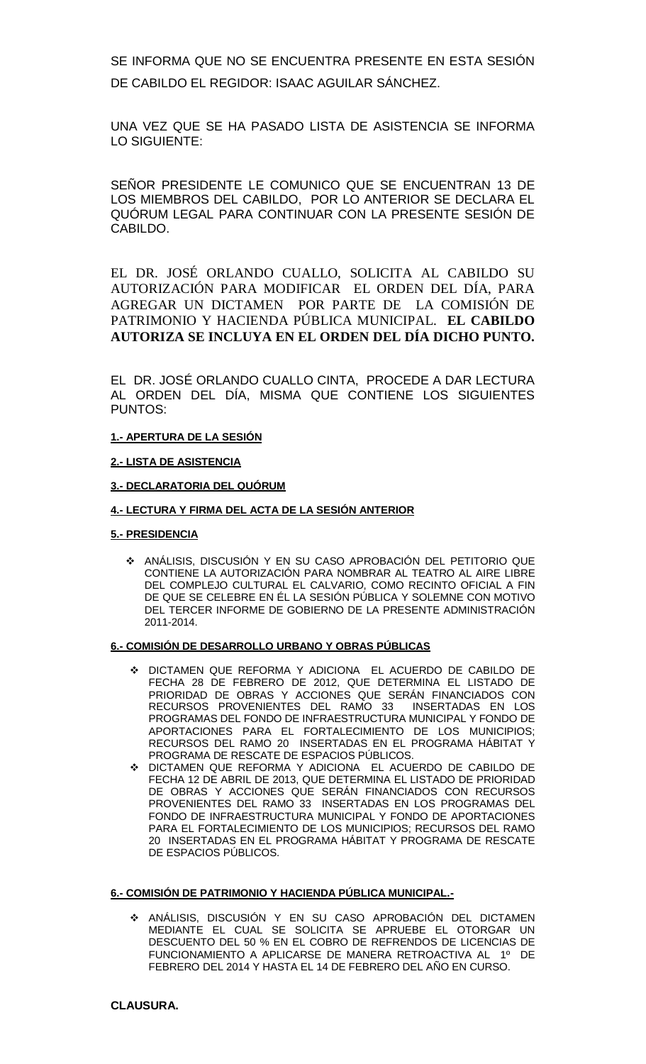SE INFORMA QUE NO SE ENCUENTRA PRESENTE EN ESTA SESIÓN DE CABILDO EL REGIDOR: ISAAC AGUILAR SÁNCHEZ.

UNA VEZ QUE SE HA PASADO LISTA DE ASISTENCIA SE INFORMA LO SIGUIENTE:

SEÑOR PRESIDENTE LE COMUNICO QUE SE ENCUENTRAN 13 DE LOS MIEMBROS DEL CABILDO, POR LO ANTERIOR SE DECLARA EL QUÓRUM LEGAL PARA CONTINUAR CON LA PRESENTE SESIÓN DE CABILDO.

EL DR. JOSÉ ORLANDO CUALLO, SOLICITA AL CABILDO SU AUTORIZACIÓN PARA MODIFICAR EL ORDEN DEL DÍA, PARA AGREGAR UN DICTAMEN POR PARTE DE LA COMISIÓN DE PATRIMONIO Y HACIENDA PÚBLICA MUNICIPAL. **EL CABILDO AUTORIZA SE INCLUYA EN EL ORDEN DEL DÍA DICHO PUNTO.** 

EL DR. JOSÉ ORLANDO CUALLO CINTA, PROCEDE A DAR LECTURA AL ORDEN DEL DÍA, MISMA QUE CONTIENE LOS SIGUIENTES PUNTOS:

### **1.- APERTURA DE LA SESIÓN**

#### **2.- LISTA DE ASISTENCIA**

### **3.- DECLARATORIA DEL QUÓRUM**

#### **4.- LECTURA Y FIRMA DEL ACTA DE LA SESIÓN ANTERIOR**

#### **5.- PRESIDENCIA**

 ANÁLISIS, DISCUSIÓN Y EN SU CASO APROBACIÓN DEL PETITORIO QUE CONTIENE LA AUTORIZACIÓN PARA NOMBRAR AL TEATRO AL AIRE LIBRE DEL COMPLEJO CULTURAL EL CALVARIO, COMO RECINTO OFICIAL A FIN DE QUE SE CELEBRE EN ÉL LA SESIÓN PÚBLICA Y SOLEMNE CON MOTIVO DEL TERCER INFORME DE GOBIERNO DE LA PRESENTE ADMINISTRACIÓN 2011-2014.

#### **6.- COMISIÓN DE DESARROLLO URBANO Y OBRAS PÚBLICAS**

- DICTAMEN QUE REFORMA Y ADICIONA EL ACUERDO DE CABILDO DE FECHA 28 DE FEBRERO DE 2012, QUE DETERMINA EL LISTADO DE PRIORIDAD DE OBRAS Y ACCIONES QUE SERÁN FINANCIADOS CON<br>RECURSOS PROVENIENTES DEL RAMO 33 INSERTADAS EN LOS RECURSOS PROVENIENTES DEL RAMO 33 PROGRAMAS DEL FONDO DE INFRAESTRUCTURA MUNICIPAL Y FONDO DE APORTACIONES PARA EL FORTALECIMIENTO DE LOS MUNICIPIOS; RECURSOS DEL RAMO 20 INSERTADAS EN EL PROGRAMA HÁBITAT Y PROGRAMA DE RESCATE DE ESPACIOS PÚBLICOS.
- DICTAMEN QUE REFORMA Y ADICIONA EL ACUERDO DE CABILDO DE FECHA 12 DE ABRIL DE 2013, QUE DETERMINA EL LISTADO DE PRIORIDAD DE OBRAS Y ACCIONES QUE SERÁN FINANCIADOS CON RECURSOS PROVENIENTES DEL RAMO 33 INSERTADAS EN LOS PROGRAMAS DEL FONDO DE INFRAESTRUCTURA MUNICIPAL Y FONDO DE APORTACIONES PARA EL FORTALECIMIENTO DE LOS MUNICIPIOS; RECURSOS DEL RAMO 20 INSERTADAS EN EL PROGRAMA HÁBITAT Y PROGRAMA DE RESCATE DE ESPACIOS PÚBLICOS.

#### **6.- COMISIÓN DE PATRIMONIO Y HACIENDA PÚBLICA MUNICIPAL.-**

 ANÁLISIS, DISCUSIÓN Y EN SU CASO APROBACIÓN DEL DICTAMEN MEDIANTE EL CUAL SE SOLICITA SE APRUEBE EL OTORGAR UN DESCUENTO DEL 50 % EN EL COBRO DE REFRENDOS DE LICENCIAS DE FUNCIONAMIENTO A APLICARSE DE MANERA RETROACTIVA AL 1º DE FEBRERO DEL 2014 Y HASTA EL 14 DE FEBRERO DEL AÑO EN CURSO.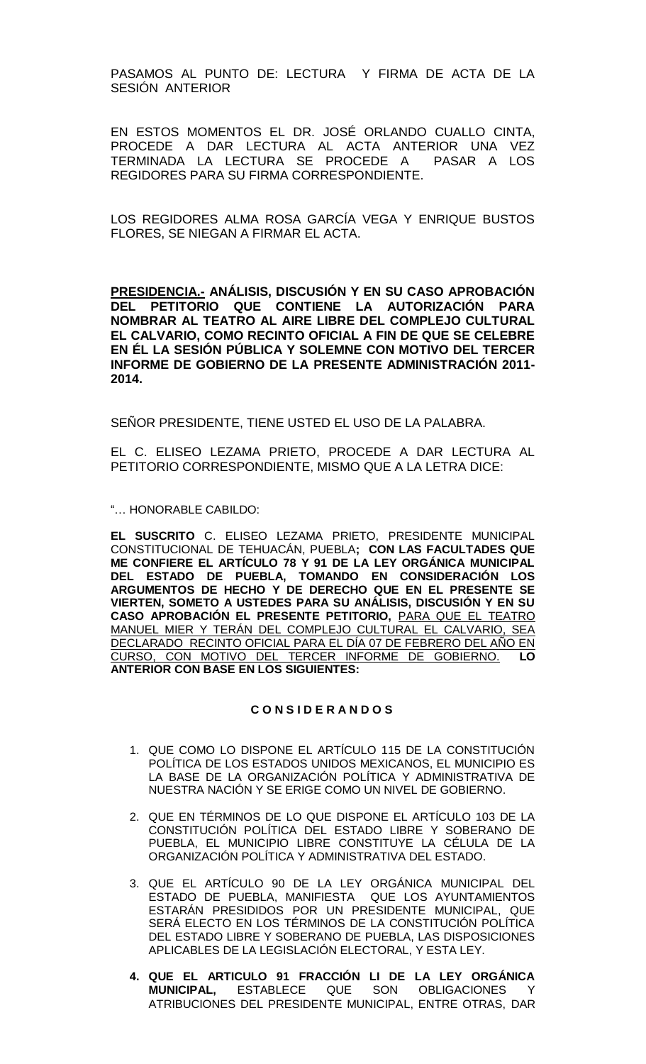PASAMOS AL PUNTO DE: LECTURA Y FIRMA DE ACTA DE LA SESIÓN ANTERIOR

EN ESTOS MOMENTOS EL DR. JOSÉ ORLANDO CUALLO CINTA, PROCEDE A DAR LECTURA AL ACTA ANTERIOR UNA VEZ TERMINADA LA LECTURA SE PROCEDE A REGIDORES PARA SU FIRMA CORRESPONDIENTE.

LOS REGIDORES ALMA ROSA GARCÍA VEGA Y ENRIQUE BUSTOS FLORES, SE NIEGAN A FIRMAR EL ACTA.

**PRESIDENCIA.- ANÁLISIS, DISCUSIÓN Y EN SU CASO APROBACIÓN DEL PETITORIO QUE CONTIENE LA AUTORIZACIÓN PARA NOMBRAR AL TEATRO AL AIRE LIBRE DEL COMPLEJO CULTURAL EL CALVARIO, COMO RECINTO OFICIAL A FIN DE QUE SE CELEBRE EN ÉL LA SESIÓN PÚBLICA Y SOLEMNE CON MOTIVO DEL TERCER INFORME DE GOBIERNO DE LA PRESENTE ADMINISTRACIÓN 2011- 2014.**

SEÑOR PRESIDENTE, TIENE USTED EL USO DE LA PALABRA.

EL C. ELISEO LEZAMA PRIETO, PROCEDE A DAR LECTURA AL PETITORIO CORRESPONDIENTE, MISMO QUE A LA LETRA DICE:

"… HONORABLE CABILDO:

**EL SUSCRITO** C. ELISEO LEZAMA PRIETO, PRESIDENTE MUNICIPAL CONSTITUCIONAL DE TEHUACÁN, PUEBLA**; CON LAS FACULTADES QUE ME CONFIERE EL ARTÍCULO 78 Y 91 DE LA LEY ORGÁNICA MUNICIPAL DEL ESTADO DE PUEBLA, TOMANDO EN CONSIDERACIÓN LOS ARGUMENTOS DE HECHO Y DE DERECHO QUE EN EL PRESENTE SE VIERTEN, SOMETO A USTEDES PARA SU ANÁLISIS, DISCUSIÓN Y EN SU CASO APROBACIÓN EL PRESENTE PETITORIO,** PARA QUE EL TEATRO MANUEL MIER Y TERÁN DEL COMPLEJO CULTURAL EL CALVARIO, SEA DECLARADO RECINTO OFICIAL PARA EL DÍA 07 DE FEBRERO DEL AÑO EN CURSO, CON MOTIVO DEL TERCER INFORME DE GOBIERNO. **LO ANTERIOR CON BASE EN LOS SIGUIENTES:**

### **C O N S I D E R A N D O S**

- 1. QUE COMO LO DISPONE EL ARTÍCULO 115 DE LA CONSTITUCIÓN POLÍTICA DE LOS ESTADOS UNIDOS MEXICANOS, EL MUNICIPIO ES LA BASE DE LA ORGANIZACIÓN POLÍTICA Y ADMINISTRATIVA DE NUESTRA NACIÓN Y SE ERIGE COMO UN NIVEL DE GOBIERNO.
- 2. QUE EN TÉRMINOS DE LO QUE DISPONE EL ARTÍCULO 103 DE LA CONSTITUCIÓN POLÍTICA DEL ESTADO LIBRE Y SOBERANO DE PUEBLA, EL MUNICIPIO LIBRE CONSTITUYE LA CÉLULA DE LA ORGANIZACIÓN POLÍTICA Y ADMINISTRATIVA DEL ESTADO.
- 3. QUE EL ARTÍCULO 90 DE LA LEY ORGÁNICA MUNICIPAL DEL ESTADO DE PUEBLA, MANIFIESTA QUE LOS AYUNTAMIENTOS ESTARÁN PRESIDIDOS POR UN PRESIDENTE MUNICIPAL, QUE SERÁ ELECTO EN LOS TÉRMINOS DE LA CONSTITUCIÓN POLÍTICA DEL ESTADO LIBRE Y SOBERANO DE PUEBLA, LAS DISPOSICIONES APLICABLES DE LA LEGISLACIÓN ELECTORAL, Y ESTA LEY.
- **4. QUE EL ARTICULO 91 FRACCIÓN LI DE LA LEY ORGÁNICA MUNICIPAL, ESTABLECE QUE SON OBLIGACIONES** ATRIBUCIONES DEL PRESIDENTE MUNICIPAL, ENTRE OTRAS, DAR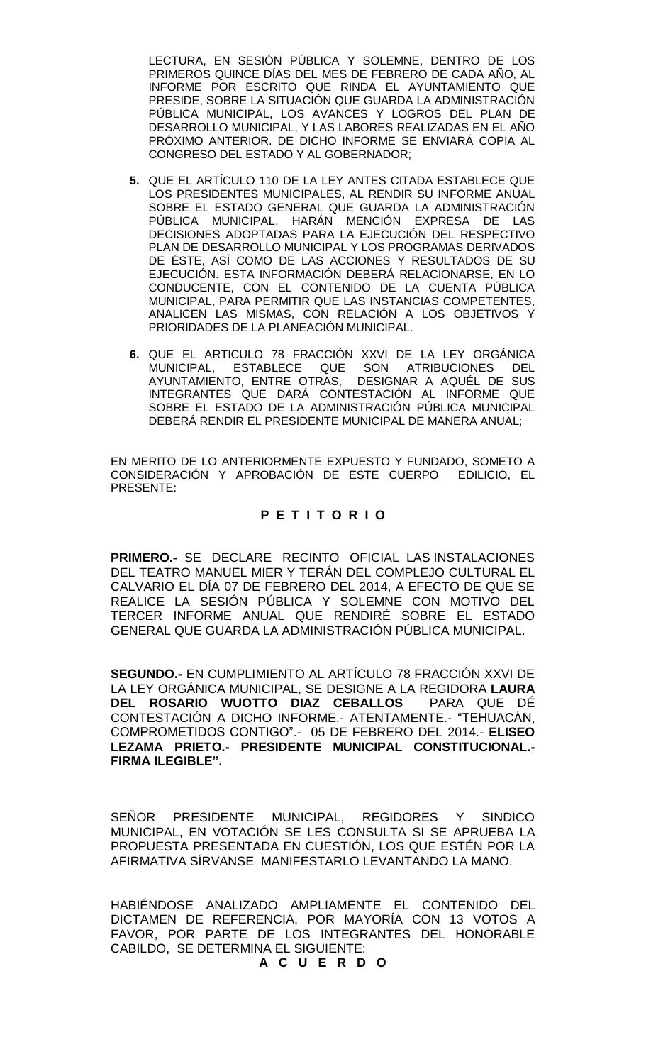LECTURA, EN SESIÓN PÚBLICA Y SOLEMNE, DENTRO DE LOS PRIMEROS QUINCE DÍAS DEL MES DE FEBRERO DE CADA AÑO, AL INFORME POR ESCRITO QUE RINDA EL AYUNTAMIENTO QUE PRESIDE, SOBRE LA SITUACIÓN QUE GUARDA LA ADMINISTRACIÓN PÚBLICA MUNICIPAL, LOS AVANCES Y LOGROS DEL PLAN DE DESARROLLO MUNICIPAL, Y LAS LABORES REALIZADAS EN EL AÑO PRÓXIMO ANTERIOR. DE DICHO INFORME SE ENVIARÁ COPIA AL CONGRESO DEL ESTADO Y AL GOBERNADOR;

- **5.** QUE EL ARTÍCULO 110 DE LA LEY ANTES CITADA ESTABLECE QUE LOS PRESIDENTES MUNICIPALES, AL RENDIR SU INFORME ANUAL SOBRE EL ESTADO GENERAL QUE GUARDA LA ADMINISTRACIÓN PÚBLICA MUNICIPAL, HARÁN MENCIÓN EXPRESA DE LAS DECISIONES ADOPTADAS PARA LA EJECUCIÓN DEL RESPECTIVO PLAN DE DESARROLLO MUNICIPAL Y LOS PROGRAMAS DERIVADOS DE ÉSTE, ASÍ COMO DE LAS ACCIONES Y RESULTADOS DE SU EJECUCIÓN. ESTA INFORMACIÓN DEBERÁ RELACIONARSE, EN LO CONDUCENTE, CON EL CONTENIDO DE LA CUENTA PÚBLICA MUNICIPAL, PARA PERMITIR QUE LAS INSTANCIAS COMPETENTES, ANALICEN LAS MISMAS, CON RELACIÓN A LOS OBJETIVOS Y PRIORIDADES DE LA PLANEACIÓN MUNICIPAL.
- **6.** QUE EL ARTICULO 78 FRACCIÓN XXVI DE LA LEY ORGÁNICA MUNICIPAL, ESTABLECE QUE SON ATRIBUCIONES DEL AYUNTAMIENTO, ENTRE OTRAS, DESIGNAR A AQUÉL DE SUS INTEGRANTES QUE DARÁ CONTESTACIÓN AL INFORME QUE SOBRE EL ESTADO DE LA ADMINISTRACIÓN PÚBLICA MUNICIPAL DEBERÁ RENDIR EL PRESIDENTE MUNICIPAL DE MANERA ANUAL;

EN MERITO DE LO ANTERIORMENTE EXPUESTO Y FUNDADO, SOMETO A CONSIDERACIÓN Y APROBACIÓN DE ESTE CUERPO EDILICIO, EL PRESENTE:

### **P E T I T O R I O**

**PRIMERO.-** SE DECLARE RECINTO OFICIAL LAS INSTALACIONES DEL TEATRO MANUEL MIER Y TERÁN DEL COMPLEJO CULTURAL EL CALVARIO EL DÍA 07 DE FEBRERO DEL 2014, A EFECTO DE QUE SE REALICE LA SESIÓN PÚBLICA Y SOLEMNE CON MOTIVO DEL TERCER INFORME ANUAL QUE RENDIRÉ SOBRE EL ESTADO GENERAL QUE GUARDA LA ADMINISTRACIÓN PÚBLICA MUNICIPAL.

**SEGUNDO.-** EN CUMPLIMIENTO AL ARTÍCULO 78 FRACCIÓN XXVI DE LA LEY ORGÁNICA MUNICIPAL, SE DESIGNE A LA REGIDORA **LAURA DEL ROSARIO WUOTTO DIAZ CEBALLOS** PARA QUE DÉ CONTESTACIÓN A DICHO INFORME.- ATENTAMENTE.- "TEHUACÁN, COMPROMETIDOS CONTIGO".- 05 DE FEBRERO DEL 2014.- **ELISEO LEZAMA PRIETO.- PRESIDENTE MUNICIPAL CONSTITUCIONAL.- FIRMA ILEGIBLE".**

SEÑOR PRESIDENTE MUNICIPAL, REGIDORES Y SINDICO MUNICIPAL, EN VOTACIÓN SE LES CONSULTA SI SE APRUEBA LA PROPUESTA PRESENTADA EN CUESTIÓN, LOS QUE ESTÉN POR LA AFIRMATIVA SÍRVANSE MANIFESTARLO LEVANTANDO LA MANO.

HABIÉNDOSE ANALIZADO AMPLIAMENTE EL CONTENIDO DEL DICTAMEN DE REFERENCIA, POR MAYORÍA CON 13 VOTOS A FAVOR, POR PARTE DE LOS INTEGRANTES DEL HONORABLE CABILDO, SE DETERMINA EL SIGUIENTE:

# **A C U E R D O**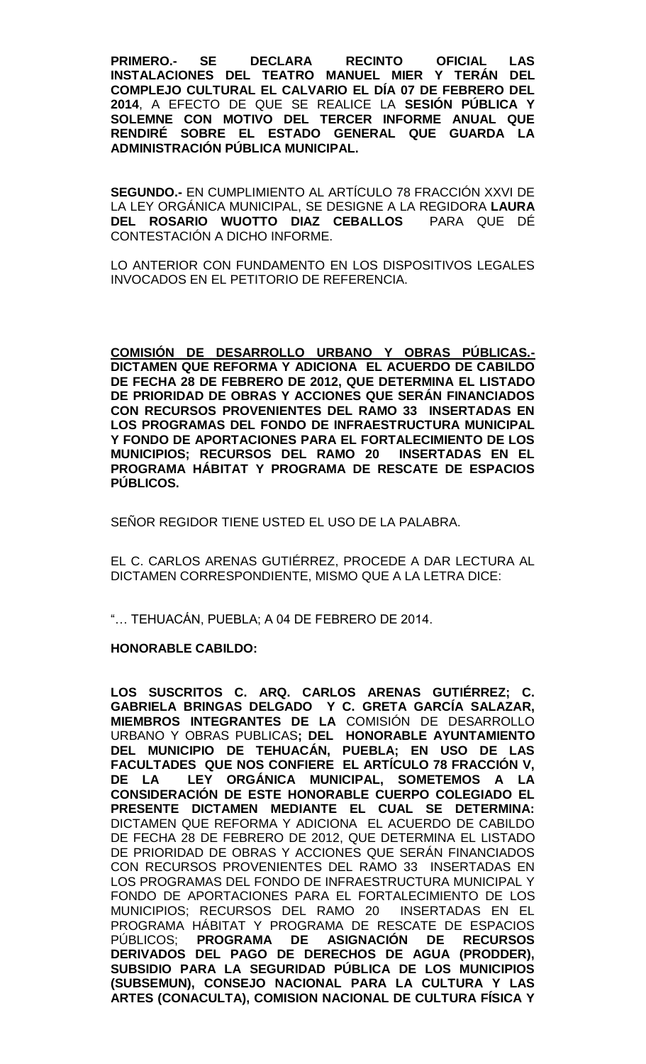**PRIMERO.- SE DECLARA RECINTO OFICIAL LAS INSTALACIONES DEL TEATRO MANUEL MIER Y TERÁN DEL COMPLEJO CULTURAL EL CALVARIO EL DÍA 07 DE FEBRERO DEL 2014**, A EFECTO DE QUE SE REALICE LA **SESIÓN PÚBLICA Y SOLEMNE CON MOTIVO DEL TERCER INFORME ANUAL QUE RENDIRÉ SOBRE EL ESTADO GENERAL QUE GUARDA LA ADMINISTRACIÓN PÚBLICA MUNICIPAL.**

**SEGUNDO.-** EN CUMPLIMIENTO AL ARTÍCULO 78 FRACCIÓN XXVI DE LA LEY ORGÁNICA MUNICIPAL, SE DESIGNE A LA REGIDORA **LAURA DEL ROSARIO WUOTTO DIAZ CEBALLOS** PARA QUE DÉ CONTESTACIÓN A DICHO INFORME.

LO ANTERIOR CON FUNDAMENTO EN LOS DISPOSITIVOS LEGALES INVOCADOS EN EL PETITORIO DE REFERENCIA.

**COMISIÓN DE DESARROLLO URBANO Y OBRAS PÚBLICAS.- DICTAMEN QUE REFORMA Y ADICIONA EL ACUERDO DE CABILDO DE FECHA 28 DE FEBRERO DE 2012, QUE DETERMINA EL LISTADO DE PRIORIDAD DE OBRAS Y ACCIONES QUE SERÁN FINANCIADOS CON RECURSOS PROVENIENTES DEL RAMO 33 INSERTADAS EN LOS PROGRAMAS DEL FONDO DE INFRAESTRUCTURA MUNICIPAL Y FONDO DE APORTACIONES PARA EL FORTALECIMIENTO DE LOS MUNICIPIOS; RECURSOS DEL RAMO 20 INSERTADAS EN EL PROGRAMA HÁBITAT Y PROGRAMA DE RESCATE DE ESPACIOS PÚBLICOS.**

SEÑOR REGIDOR TIENE USTED EL USO DE LA PALABRA.

EL C. CARLOS ARENAS GUTIÉRREZ, PROCEDE A DAR LECTURA AL DICTAMEN CORRESPONDIENTE, MISMO QUE A LA LETRA DICE:

"… TEHUACÁN, PUEBLA; A 04 DE FEBRERO DE 2014.

#### **HONORABLE CABILDO:**

**LOS SUSCRITOS C. ARQ. CARLOS ARENAS GUTIÉRREZ; C. GABRIELA BRINGAS DELGADO Y C. GRETA GARCÍA SALAZAR, MIEMBROS INTEGRANTES DE LA** COMISIÓN DE DESARROLLO URBANO Y OBRAS PUBLICAS**; DEL HONORABLE AYUNTAMIENTO DEL MUNICIPIO DE TEHUACÁN, PUEBLA; EN USO DE LAS FACULTADES QUE NOS CONFIERE EL ARTÍCULO 78 FRACCIÓN V, DE LA LEY ORGÁNICA MUNICIPAL, SOMETEMOS A LA CONSIDERACIÓN DE ESTE HONORABLE CUERPO COLEGIADO EL PRESENTE DICTAMEN MEDIANTE EL CUAL SE DETERMINA:**  DICTAMEN QUE REFORMA Y ADICIONA EL ACUERDO DE CABILDO DE FECHA 28 DE FEBRERO DE 2012, QUE DETERMINA EL LISTADO DE PRIORIDAD DE OBRAS Y ACCIONES QUE SERÁN FINANCIADOS CON RECURSOS PROVENIENTES DEL RAMO 33 INSERTADAS EN LOS PROGRAMAS DEL FONDO DE INFRAESTRUCTURA MUNICIPAL Y FONDO DE APORTACIONES PARA EL FORTALECIMIENTO DE LOS MUNICIPIOS; RECURSOS DEL RAMO 20 INSERTADAS EN EL PROGRAMA HÁBITAT Y PROGRAMA DE RESCATE DE ESPACIOS PÚBLICOS; **PROGRAMA DE ASIGNACIÓN DE RECURSOS DERIVADOS DEL PAGO DE DERECHOS DE AGUA (PRODDER), SUBSIDIO PARA LA SEGURIDAD PÚBLICA DE LOS MUNICIPIOS (SUBSEMUN), CONSEJO NACIONAL PARA LA CULTURA Y LAS ARTES (CONACULTA), COMISION NACIONAL DE CULTURA FÍSICA Y**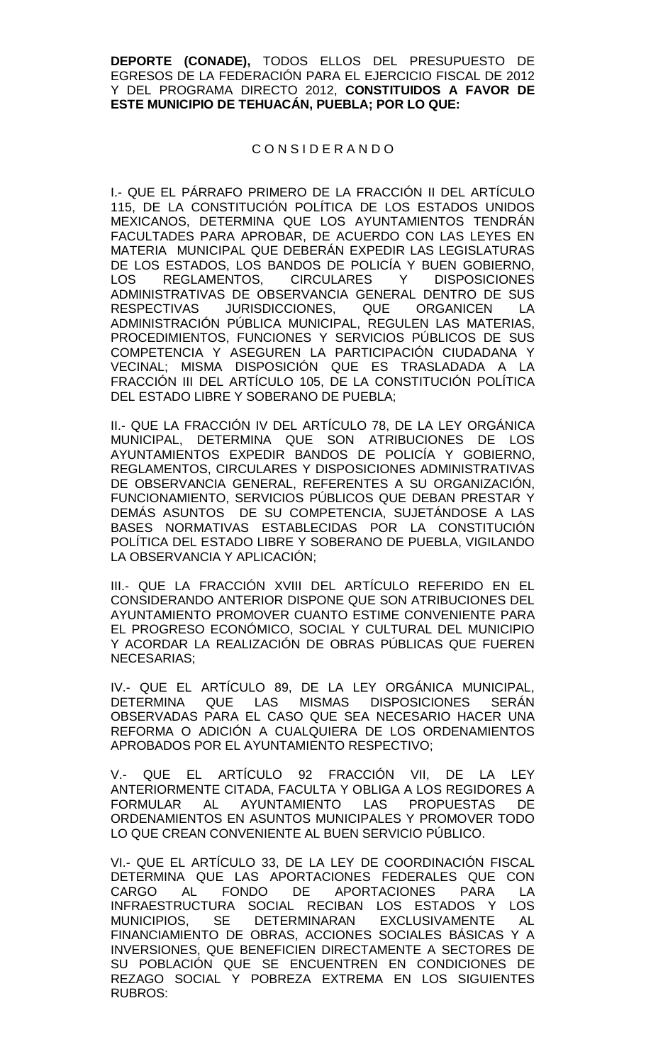**DEPORTE (CONADE),** TODOS ELLOS DEL PRESUPUESTO DE EGRESOS DE LA FEDERACIÓN PARA EL EJERCICIO FISCAL DE 2012 Y DEL PROGRAMA DIRECTO 2012, **CONSTITUIDOS A FAVOR DE ESTE MUNICIPIO DE TEHUACÁN, PUEBLA; POR LO QUE:**

### C O N S I D E R A N D O

I.- QUE EL PÁRRAFO PRIMERO DE LA FRACCIÓN II DEL ARTÍCULO 115, DE LA CONSTITUCIÓN POLÍTICA DE LOS ESTADOS UNIDOS MEXICANOS, DETERMINA QUE LOS AYUNTAMIENTOS TENDRÁN FACULTADES PARA APROBAR, DE ACUERDO CON LAS LEYES EN MATERIA MUNICIPAL QUE DEBERÁN EXPEDIR LAS LEGISLATURAS DE LOS ESTADOS, LOS BANDOS DE POLICÍA Y BUEN GOBIERNO, LOS REGLAMENTOS, CIRCULARES Y DISPOSICIONES ADMINISTRATIVAS DE OBSERVANCIA GENERAL DENTRO DE SUS RESPECTIVAS JURISDICCIONES, QUE ORGANICEN LA ADMINISTRACIÓN PÚBLICA MUNICIPAL, REGULEN LAS MATERIAS, PROCEDIMIENTOS, FUNCIONES Y SERVICIOS PÚBLICOS DE SUS COMPETENCIA Y ASEGUREN LA PARTICIPACIÓN CIUDADANA Y VECINAL; MISMA DISPOSICIÓN QUE ES TRASLADADA A LA FRACCIÓN III DEL ARTÍCULO 105, DE LA CONSTITUCIÓN POLÍTICA DEL ESTADO LIBRE Y SOBERANO DE PUEBLA;

II.- QUE LA FRACCIÓN IV DEL ARTÍCULO 78, DE LA LEY ORGÁNICA MUNICIPAL, DETERMINA QUE SON ATRIBUCIONES DE LOS AYUNTAMIENTOS EXPEDIR BANDOS DE POLICÍA Y GOBIERNO, REGLAMENTOS, CIRCULARES Y DISPOSICIONES ADMINISTRATIVAS DE OBSERVANCIA GENERAL, REFERENTES A SU ORGANIZACIÓN, FUNCIONAMIENTO, SERVICIOS PÚBLICOS QUE DEBAN PRESTAR Y DEMÁS ASUNTOS DE SU COMPETENCIA, SUJETÁNDOSE A LAS BASES NORMATIVAS ESTABLECIDAS POR LA CONSTITUCIÓN POLÍTICA DEL ESTADO LIBRE Y SOBERANO DE PUEBLA, VIGILANDO LA OBSERVANCIA Y APLICACIÓN;

III.- QUE LA FRACCIÓN XVIII DEL ARTÍCULO REFERIDO EN EL CONSIDERANDO ANTERIOR DISPONE QUE SON ATRIBUCIONES DEL AYUNTAMIENTO PROMOVER CUANTO ESTIME CONVENIENTE PARA EL PROGRESO ECONÓMICO, SOCIAL Y CULTURAL DEL MUNICIPIO Y ACORDAR LA REALIZACIÓN DE OBRAS PÚBLICAS QUE FUEREN NECESARIAS;

IV.- QUE EL ARTÍCULO 89, DE LA LEY ORGÁNICA MUNICIPAL, DETERMINA QUE LAS MISMAS DISPOSICIONES SERÁN OBSERVADAS PARA EL CASO QUE SEA NECESARIO HACER UNA REFORMA O ADICIÓN A CUALQUIERA DE LOS ORDENAMIENTOS APROBADOS POR EL AYUNTAMIENTO RESPECTIVO;

V.- QUE EL ARTÍCULO 92 FRACCIÓN VII, DE LA LEY ANTERIORMENTE CITADA, FACULTA Y OBLIGA A LOS REGIDORES A FORMULAR AL AYUNTAMIENTO LAS PROPUESTAS DE ORDENAMIENTOS EN ASUNTOS MUNICIPALES Y PROMOVER TODO LO QUE CREAN CONVENIENTE AL BUEN SERVICIO PÚBLICO.

VI.- QUE EL ARTÍCULO 33, DE LA LEY DE COORDINACIÓN FISCAL DETERMINA QUE LAS APORTACIONES FEDERALES QUE CON<br>CARGO AL FONDO DE APORTACIONES PARA LA CARGO AL FONDO DE APORTACIONES PARA LA INFRAESTRUCTURA SOCIAL RECIBAN LOS ESTADOS Y LOS MUNICIPIOS, SE DETERMINARAN EXCLUSIVAMENTE AL FINANCIAMIENTO DE OBRAS, ACCIONES SOCIALES BÁSICAS Y A INVERSIONES, QUE BENEFICIEN DIRECTAMENTE A SECTORES DE SU POBLACIÓN QUE SE ENCUENTREN EN CONDICIONES DE REZAGO SOCIAL Y POBREZA EXTREMA EN LOS SIGUIENTES RUBROS: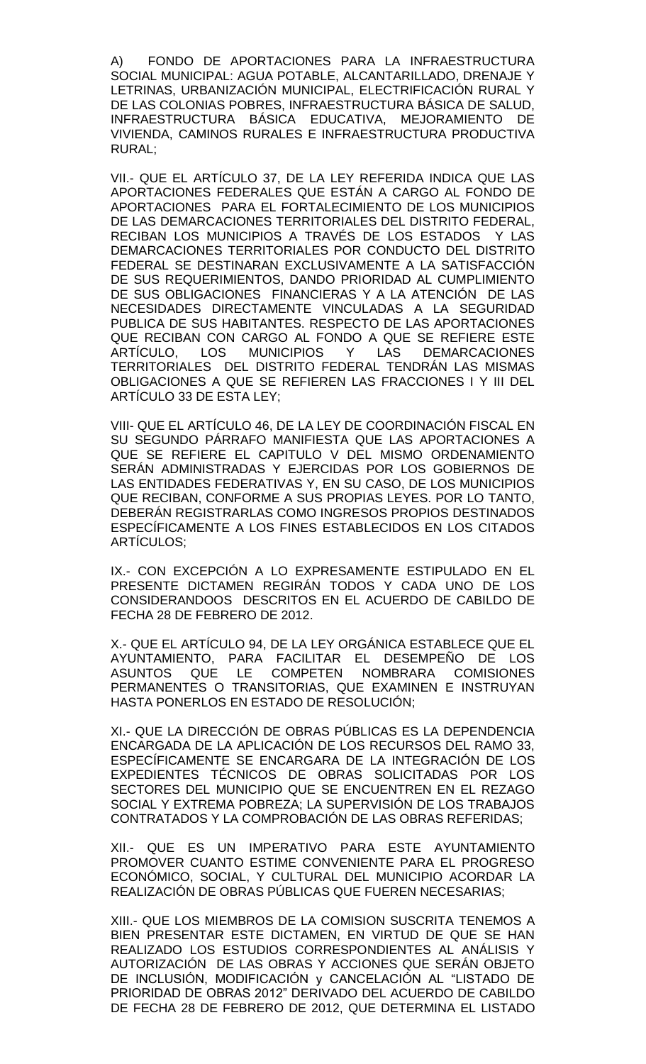A) FONDO DE APORTACIONES PARA LA INFRAESTRUCTURA SOCIAL MUNICIPAL: AGUA POTABLE, ALCANTARILLADO, DRENAJE Y LETRINAS, URBANIZACIÓN MUNICIPAL, ELECTRIFICACIÓN RURAL Y DE LAS COLONIAS POBRES, INFRAESTRUCTURA BÁSICA DE SALUD, INFRAESTRUCTURA BÁSICA EDUCATIVA, MEJORAMIENTO DE VIVIENDA, CAMINOS RURALES E INFRAESTRUCTURA PRODUCTIVA RURAL;

VII.- QUE EL ARTÍCULO 37, DE LA LEY REFERIDA INDICA QUE LAS APORTACIONES FEDERALES QUE ESTÁN A CARGO AL FONDO DE APORTACIONES PARA EL FORTALECIMIENTO DE LOS MUNICIPIOS DE LAS DEMARCACIONES TERRITORIALES DEL DISTRITO FEDERAL, RECIBAN LOS MUNICIPIOS A TRAVÉS DE LOS ESTADOS Y LAS DEMARCACIONES TERRITORIALES POR CONDUCTO DEL DISTRITO FEDERAL SE DESTINARAN EXCLUSIVAMENTE A LA SATISFACCIÓN DE SUS REQUERIMIENTOS, DANDO PRIORIDAD AL CUMPLIMIENTO DE SUS OBLIGACIONES FINANCIERAS Y A LA ATENCIÓN DE LAS NECESIDADES DIRECTAMENTE VINCULADAS A LA SEGURIDAD PUBLICA DE SUS HABITANTES. RESPECTO DE LAS APORTACIONES QUE RECIBAN CON CARGO AL FONDO A QUE SE REFIERE ESTE ARTÍCULO, LOS MUNICIPIOS Y LAS DEMARCACIONES TERRITORIALES DEL DISTRITO FEDERAL TENDRÁN LAS MISMAS OBLIGACIONES A QUE SE REFIEREN LAS FRACCIONES I Y III DEL ARTÍCULO 33 DE ESTA LEY;

VIII- QUE EL ARTÍCULO 46, DE LA LEY DE COORDINACIÓN FISCAL EN SU SEGUNDO PÁRRAFO MANIFIESTA QUE LAS APORTACIONES A QUE SE REFIERE EL CAPITULO V DEL MISMO ORDENAMIENTO SERÁN ADMINISTRADAS Y EJERCIDAS POR LOS GOBIERNOS DE LAS ENTIDADES FEDERATIVAS Y, EN SU CASO, DE LOS MUNICIPIOS QUE RECIBAN, CONFORME A SUS PROPIAS LEYES. POR LO TANTO, DEBERÁN REGISTRARLAS COMO INGRESOS PROPIOS DESTINADOS ESPECÍFICAMENTE A LOS FINES ESTABLECIDOS EN LOS CITADOS ARTÍCULOS;

IX.- CON EXCEPCIÓN A LO EXPRESAMENTE ESTIPULADO EN EL PRESENTE DICTAMEN REGIRÁN TODOS Y CADA UNO DE LOS CONSIDERANDOOS DESCRITOS EN EL ACUERDO DE CABILDO DE FECHA 28 DE FEBRERO DE 2012.

X.- QUE EL ARTÍCULO 94, DE LA LEY ORGÁNICA ESTABLECE QUE EL AYUNTAMIENTO, PARA FACILITAR EL DESEMPENO DE LOS ASUNTOS QUE LE COMPETEN NOMBRARA COMISIONES ASUNTOS QUE LE COMPETEN NOMBRARA COMISIONES<br>PERMANENTES O TRANSITORIAS, QUE EXAMINEN E INSTRUYAN HASTA PONERLOS EN ESTADO DE RESOLUCIÓN;

XI.- QUE LA DIRECCIÓN DE OBRAS PÚBLICAS ES LA DEPENDENCIA ENCARGADA DE LA APLICACIÓN DE LOS RECURSOS DEL RAMO 33, ESPECÍFICAMENTE SE ENCARGARA DE LA INTEGRACIÓN DE LOS EXPEDIENTES TÉCNICOS DE OBRAS SOLICITADAS POR LOS SECTORES DEL MUNICIPIO QUE SE ENCUENTREN EN EL REZAGO SOCIAL Y EXTREMA POBREZA; LA SUPERVISIÓN DE LOS TRABAJOS CONTRATADOS Y LA COMPROBACIÓN DE LAS OBRAS REFERIDAS;

XII.- QUE ES UN IMPERATIVO PARA ESTE AYUNTAMIENTO PROMOVER CUANTO ESTIME CONVENIENTE PARA EL PROGRESO ECONÓMICO, SOCIAL, Y CULTURAL DEL MUNICIPIO ACORDAR LA REALIZACIÓN DE OBRAS PÚBLICAS QUE FUEREN NECESARIAS;

XIII.- QUE LOS MIEMBROS DE LA COMISION SUSCRITA TENEMOS A BIEN PRESENTAR ESTE DICTAMEN, EN VIRTUD DE QUE SE HAN REALIZADO LOS ESTUDIOS CORRESPONDIENTES AL ANÁLISIS Y AUTORIZACIÓN DE LAS OBRAS Y ACCIONES QUE SERÁN OBJETO DE INCLUSIÓN, MODIFICACIÓN y CANCELACIÓN AL "LISTADO DE PRIORIDAD DE OBRAS 2012" DERIVADO DEL ACUERDO DE CABILDO DE FECHA 28 DE FEBRERO DE 2012, QUE DETERMINA EL LISTADO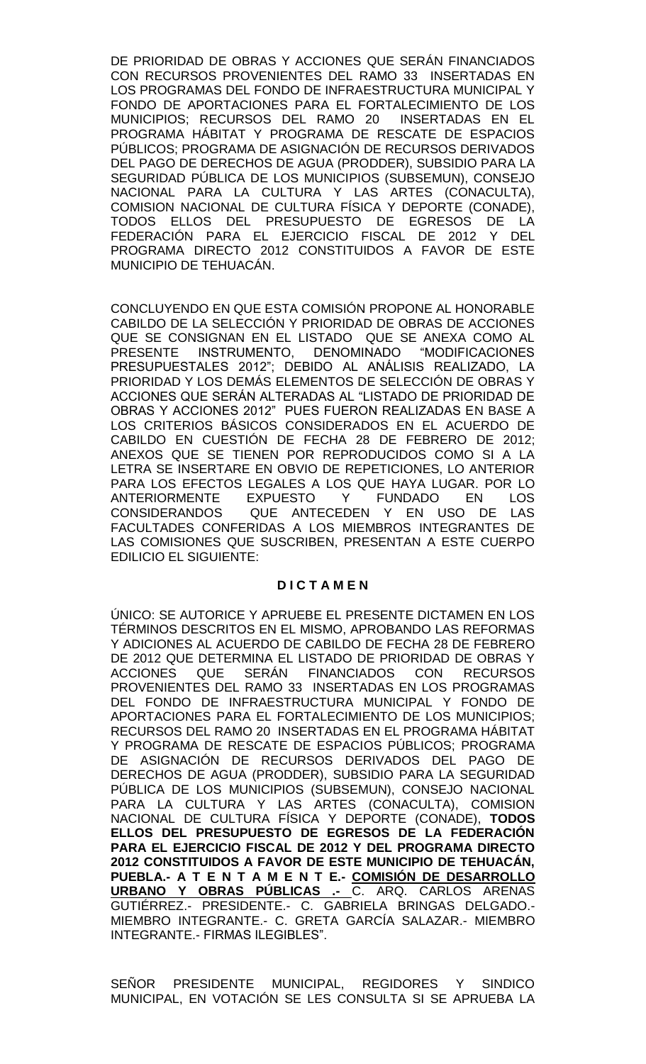DE PRIORIDAD DE OBRAS Y ACCIONES QUE SERÁN FINANCIADOS CON RECURSOS PROVENIENTES DEL RAMO 33 INSERTADAS EN LOS PROGRAMAS DEL FONDO DE INFRAESTRUCTURA MUNICIPAL Y FONDO DE APORTACIONES PARA EL FORTALECIMIENTO DE LOS MUNICIPIOS; RECURSOS DEL RAMO 20 INSERTADAS EN EL PROGRAMA HÁBITAT Y PROGRAMA DE RESCATE DE ESPACIOS PÚBLICOS; PROGRAMA DE ASIGNACIÓN DE RECURSOS DERIVADOS DEL PAGO DE DERECHOS DE AGUA (PRODDER), SUBSIDIO PARA LA SEGURIDAD PÚBLICA DE LOS MUNICIPIOS (SUBSEMUN), CONSEJO NACIONAL PARA LA CULTURA Y LAS ARTES (CONACULTA), COMISION NACIONAL DE CULTURA FÍSICA Y DEPORTE (CONADE), TODOS ELLOS DEL PRESUPUESTO DE EGRESOS DE LA FEDERACIÓN PARA EL EJERCICIO FISCAL DE 2012 Y DEL PROGRAMA DIRECTO 2012 CONSTITUIDOS A FAVOR DE ESTE MUNICIPIO DE TEHUACÁN.

CONCLUYENDO EN QUE ESTA COMISIÓN PROPONE AL HONORABLE CABILDO DE LA SELECCIÓN Y PRIORIDAD DE OBRAS DE ACCIONES QUE SE CONSIGNAN EN EL LISTADO QUE SE ANEXA COMO AL PRESENTE INSTRUMENTO, DENOMINADO "MODIFICACIONES PRESUPUESTALES 2012"; DEBIDO AL ANÁLISIS REALIZADO, LA PRIORIDAD Y LOS DEMÁS ELEMENTOS DE SELECCIÓN DE OBRAS Y ACCIONES QUE SERÁN ALTERADAS AL "LISTADO DE PRIORIDAD DE OBRAS Y ACCIONES 2012" PUES FUERON REALIZADAS EN BASE A LOS CRITERIOS BÁSICOS CONSIDERADOS EN EL ACUERDO DE CABILDO EN CUESTIÓN DE FECHA 28 DE FEBRERO DE 2012; ANEXOS QUE SE TIENEN POR REPRODUCIDOS COMO SI A LA LETRA SE INSERTARE EN OBVIO DE REPETICIONES, LO ANTERIOR PARA LOS EFECTOS LEGALES A LOS QUE HAYA LUGAR. POR LO ANTERIORMENTE EXPUESTO Y FUNDADO EN LOS CONSIDERANDOS QUE ANTECEDEN Y EN USO DE LAS FACULTADES CONFERIDAS A LOS MIEMBROS INTEGRANTES DE LAS COMISIONES QUE SUSCRIBEN, PRESENTAN A ESTE CUERPO EDILICIO EL SIGUIENTE:

# **D I C T A M E N**

ÚNICO: SE AUTORICE Y APRUEBE EL PRESENTE DICTAMEN EN LOS TÉRMINOS DESCRITOS EN EL MISMO, APROBANDO LAS REFORMAS Y ADICIONES AL ACUERDO DE CABILDO DE FECHA 28 DE FEBRERO DE 2012 QUE DETERMINA EL LISTADO DE PRIORIDAD DE OBRAS Y ACCIONES QUE SERÁN FINANCIADOS CON RECURSOS PROVENIENTES DEL RAMO 33 INSERTADAS EN LOS PROGRAMAS DEL FONDO DE INFRAESTRUCTURA MUNICIPAL Y FONDO DE APORTACIONES PARA EL FORTALECIMIENTO DE LOS MUNICIPIOS; RECURSOS DEL RAMO 20 INSERTADAS EN EL PROGRAMA HÁBITAT Y PROGRAMA DE RESCATE DE ESPACIOS PÚBLICOS; PROGRAMA DE ASIGNACIÓN DE RECURSOS DERIVADOS DEL PAGO DE DERECHOS DE AGUA (PRODDER), SUBSIDIO PARA LA SEGURIDAD PÚBLICA DE LOS MUNICIPIOS (SUBSEMUN), CONSEJO NACIONAL PARA LA CULTURA Y LAS ARTES (CONACULTA), COMISION NACIONAL DE CULTURA FÍSICA Y DEPORTE (CONADE), **TODOS ELLOS DEL PRESUPUESTO DE EGRESOS DE LA FEDERACIÓN PARA EL EJERCICIO FISCAL DE 2012 Y DEL PROGRAMA DIRECTO 2012 CONSTITUIDOS A FAVOR DE ESTE MUNICIPIO DE TEHUACÁN, PUEBLA.- A T E N T A M E N T E.- COMISIÓN DE DESARROLLO URBANO Y OBRAS PÚBLICAS .-** C. ARQ. CARLOS ARENAS GUTIÉRREZ.- PRESIDENTE.- C. GABRIELA BRINGAS DELGADO.- MIEMBRO INTEGRANTE.- C. GRETA GARCÍA SALAZAR.- MIEMBRO INTEGRANTE.- FIRMAS ILEGIBLES".

SEÑOR PRESIDENTE MUNICIPAL, REGIDORES Y SINDICO MUNICIPAL, EN VOTACIÓN SE LES CONSULTA SI SE APRUEBA LA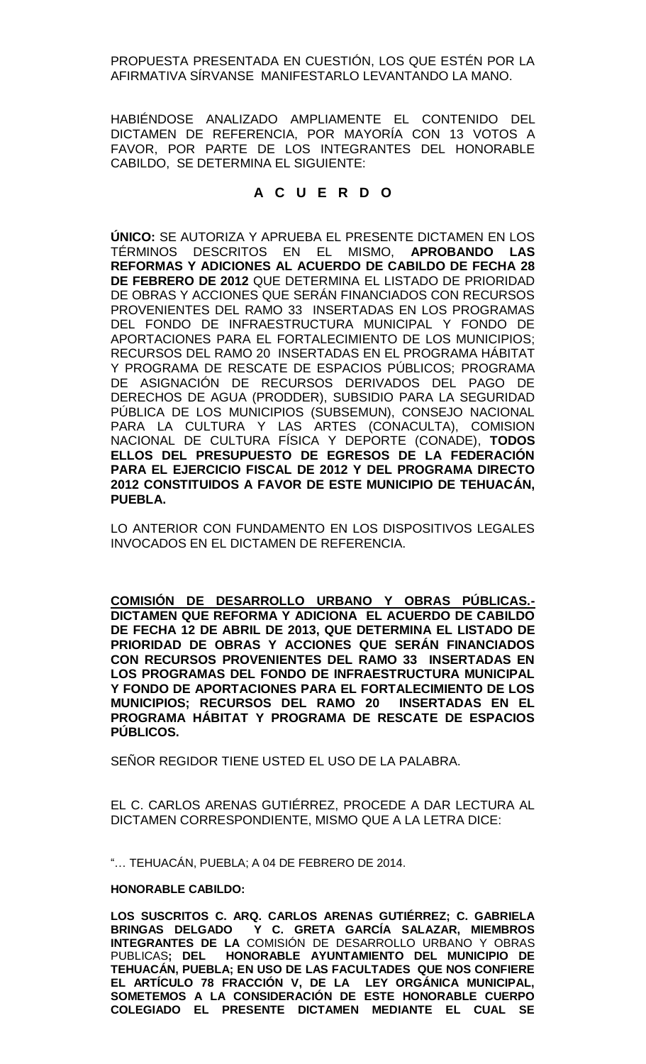PROPUESTA PRESENTADA EN CUESTIÓN, LOS QUE ESTÉN POR LA AFIRMATIVA SÍRVANSE MANIFESTARLO LEVANTANDO LA MANO.

HABIÉNDOSE ANALIZADO AMPLIAMENTE EL CONTENIDO DEL DICTAMEN DE REFERENCIA, POR MAYORÍA CON 13 VOTOS A FAVOR, POR PARTE DE LOS INTEGRANTES DEL HONORABLE CABILDO, SE DETERMINA EL SIGUIENTE:

# **A C U E R D O**

**ÚNICO:** SE AUTORIZA Y APRUEBA EL PRESENTE DICTAMEN EN LOS TÉRMINOS DESCRITOS EN EL MISMO, **APROBANDO LAS REFORMAS Y ADICIONES AL ACUERDO DE CABILDO DE FECHA 28 DE FEBRERO DE 2012** QUE DETERMINA EL LISTADO DE PRIORIDAD DE OBRAS Y ACCIONES QUE SERÁN FINANCIADOS CON RECURSOS PROVENIENTES DEL RAMO 33 INSERTADAS EN LOS PROGRAMAS DEL FONDO DE INFRAESTRUCTURA MUNICIPAL Y FONDO DE APORTACIONES PARA EL FORTALECIMIENTO DE LOS MUNICIPIOS; RECURSOS DEL RAMO 20 INSERTADAS EN EL PROGRAMA HÁBITAT Y PROGRAMA DE RESCATE DE ESPACIOS PÚBLICOS; PROGRAMA DE ASIGNACIÓN DE RECURSOS DERIVADOS DEL PAGO DE DERECHOS DE AGUA (PRODDER), SUBSIDIO PARA LA SEGURIDAD PÚBLICA DE LOS MUNICIPIOS (SUBSEMUN), CONSEJO NACIONAL PARA LA CULTURA Y LAS ARTES (CONACULTA), COMISION NACIONAL DE CULTURA FÍSICA Y DEPORTE (CONADE), **TODOS ELLOS DEL PRESUPUESTO DE EGRESOS DE LA FEDERACIÓN PARA EL EJERCICIO FISCAL DE 2012 Y DEL PROGRAMA DIRECTO 2012 CONSTITUIDOS A FAVOR DE ESTE MUNICIPIO DE TEHUACÁN, PUEBLA.**

LO ANTERIOR CON FUNDAMENTO EN LOS DISPOSITIVOS LEGALES INVOCADOS EN EL DICTAMEN DE REFERENCIA.

**COMISIÓN DE DESARROLLO URBANO Y OBRAS PÚBLICAS.- DICTAMEN QUE REFORMA Y ADICIONA EL ACUERDO DE CABILDO DE FECHA 12 DE ABRIL DE 2013, QUE DETERMINA EL LISTADO DE PRIORIDAD DE OBRAS Y ACCIONES QUE SERÁN FINANCIADOS CON RECURSOS PROVENIENTES DEL RAMO 33 INSERTADAS EN LOS PROGRAMAS DEL FONDO DE INFRAESTRUCTURA MUNICIPAL Y FONDO DE APORTACIONES PARA EL FORTALECIMIENTO DE LOS MUNICIPIOS; RECURSOS DEL RAMO 20 INSERTADAS EN EL PROGRAMA HÁBITAT Y PROGRAMA DE RESCATE DE ESPACIOS PÚBLICOS.**

SEÑOR REGIDOR TIENE USTED EL USO DE LA PALABRA.

EL C. CARLOS ARENAS GUTIÉRREZ, PROCEDE A DAR LECTURA AL DICTAMEN CORRESPONDIENTE, MISMO QUE A LA LETRA DICE:

"… TEHUACÁN, PUEBLA; A 04 DE FEBRERO DE 2014.

# **HONORABLE CABILDO:**

**LOS SUSCRITOS C. ARQ. CARLOS ARENAS GUTIÉRREZ; C. GABRIELA BRINGAS DELGADO Y C. GRETA GARCÍA SALAZAR, MIEMBROS INTEGRANTES DE LA** COMISIÓN DE DESARROLLO URBANO Y OBRAS PUBLICAS**; DEL HONORABLE AYUNTAMIENTO DEL MUNICIPIO DE TEHUACÁN, PUEBLA; EN USO DE LAS FACULTADES QUE NOS CONFIERE EL ARTÍCULO 78 FRACCIÓN V, DE LA LEY ORGÁNICA MUNICIPAL, SOMETEMOS A LA CONSIDERACIÓN DE ESTE HONORABLE CUERPO COLEGIADO EL PRESENTE DICTAMEN MEDIANTE EL CUAL SE**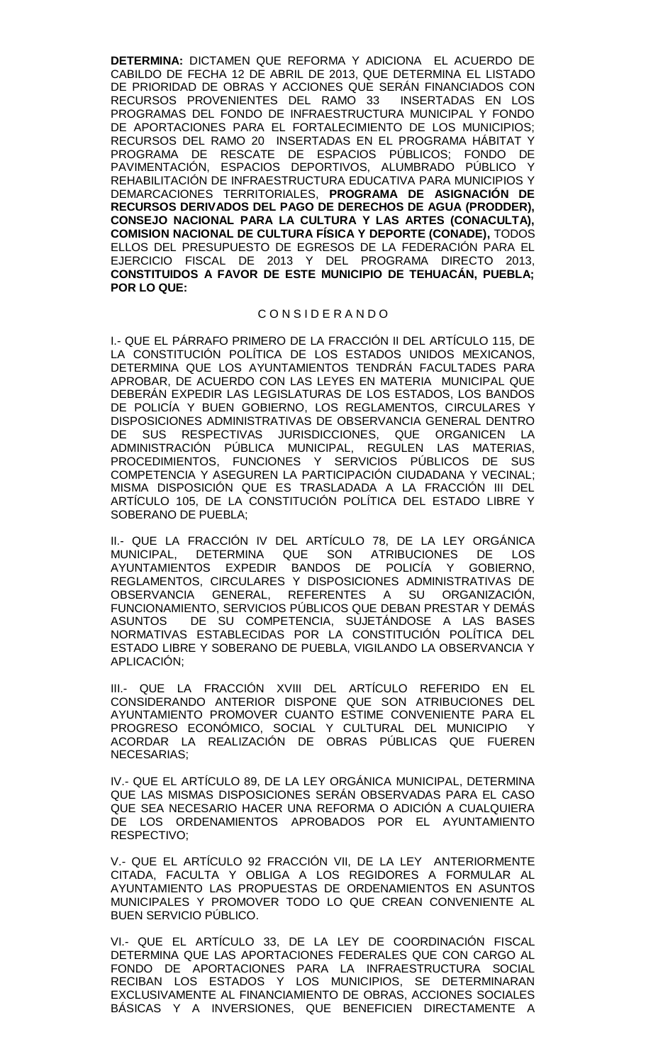**DETERMINA:** DICTAMEN QUE REFORMA Y ADICIONA EL ACUERDO DE CABILDO DE FECHA 12 DE ABRIL DE 2013, QUE DETERMINA EL LISTADO DE PRIORIDAD DE OBRAS Y ACCIONES QUE SERÁN FINANCIADOS CON RECURSOS PROVENIENTES DEL RAMO 33 INSERTADAS EN LOS RECURSOS PROVENIENTES DEL RAMO 33 PROGRAMAS DEL FONDO DE INFRAESTRUCTURA MUNICIPAL Y FONDO DE APORTACIONES PARA EL FORTALECIMIENTO DE LOS MUNICIPIOS; RECURSOS DEL RAMO 20 INSERTADAS EN EL PROGRAMA HÁBITAT Y PROGRAMA DE RESCATE DE ESPACIOS PÚBLICOS; FONDO DE PAVIMENTACIÓN, ESPACIOS DEPORTIVOS, ALUMBRADO PÚBLICO Y REHABILITACIÓN DE INFRAESTRUCTURA EDUCATIVA PARA MUNICIPIOS Y DEMARCACIONES TERRITORIALES, **PROGRAMA DE ASIGNACIÓN DE RECURSOS DERIVADOS DEL PAGO DE DERECHOS DE AGUA (PRODDER), CONSEJO NACIONAL PARA LA CULTURA Y LAS ARTES (CONACULTA), COMISION NACIONAL DE CULTURA FÍSICA Y DEPORTE (CONADE),** TODOS ELLOS DEL PRESUPUESTO DE EGRESOS DE LA FEDERACIÓN PARA EL EJERCICIO FISCAL DE 2013 Y DEL PROGRAMA DIRECTO 2013, **CONSTITUIDOS A FAVOR DE ESTE MUNICIPIO DE TEHUACÁN, PUEBLA; POR LO QUE:**

#### C O N S I D E R A N D O

I.- QUE EL PÁRRAFO PRIMERO DE LA FRACCIÓN II DEL ARTÍCULO 115, DE LA CONSTITUCIÓN POLÍTICA DE LOS ESTADOS UNIDOS MEXICANOS, DETERMINA QUE LOS AYUNTAMIENTOS TENDRÁN FACULTADES PARA APROBAR, DE ACUERDO CON LAS LEYES EN MATERIA MUNICIPAL QUE DEBERÁN EXPEDIR LAS LEGISLATURAS DE LOS ESTADOS, LOS BANDOS DE POLICÍA Y BUEN GOBIERNO, LOS REGLAMENTOS, CIRCULARES Y DISPOSICIONES ADMINISTRATIVAS DE OBSERVANCIA GENERAL DENTRO DE SUS RESPECTIVAS JURISDICCIONES, QUE ORGANICEN LA ADMINISTRACIÓN PÚBLICA MUNICIPAL, REGULEN LAS MATERIAS, PROCEDIMIENTOS, FUNCIONES Y SERVICIOS PÚBLICOS DE SUS COMPETENCIA Y ASEGUREN LA PARTICIPACIÓN CIUDADANA Y VECINAL; MISMA DISPOSICIÓN QUE ES TRASLADADA A LA FRACCIÓN III DEL ARTÍCULO 105, DE LA CONSTITUCIÓN POLÍTICA DEL ESTADO LIBRE Y SOBERANO DE PUEBLA;

II.- QUE LA FRACCIÓN IV DEL ARTÍCULO 78, DE LA LEY ORGÁNICA<br>MUNICIPAL. DETERMINA QUE SON ATRIBUCIONES DE LOS MUNICIPAL, DETERMINA QUE SON ATRIBUCIONES DE LOS AYUNTAMIENTOS EXPEDIR BANDOS DE POLICÍA Y GOBIERNO, REGLAMENTOS, CIRCULARES Y DISPOSICIONES ADMINISTRATIVAS DE OBSERVANCIA GENERAL, REFERENTES A SU ORGANIZACIÓN, FUNCIONAMIENTO, SERVICIOS PÚBLICOS QUE DEBAN PRESTAR Y DEMÁS ASUNTOS DE SU COMPETENCIA, SUJETÁNDOSE A LAS BASES NORMATIVAS ESTABLECIDAS POR LA CONSTITUCIÓN POLÍTICA DEL ESTADO LIBRE Y SOBERANO DE PUEBLA, VIGILANDO LA OBSERVANCIA Y APLICACIÓN;

III.- QUE LA FRACCIÓN XVIII DEL ARTÍCULO REFERIDO EN EL CONSIDERANDO ANTERIOR DISPONE QUE SON ATRIBUCIONES DEL AYUNTAMIENTO PROMOVER CUANTO ESTIME CONVENIENTE PARA EL PROGRESO ECONÓMICO, SOCIAL Y CULTURAL DEL MUNICIPIO Y ACORDAR LA REALIZACIÓN DE OBRAS PÚBLICAS QUE FUEREN NECESARIAS;

IV.- QUE EL ARTÍCULO 89, DE LA LEY ORGÁNICA MUNICIPAL, DETERMINA QUE LAS MISMAS DISPOSICIONES SERÁN OBSERVADAS PARA EL CASO QUE SEA NECESARIO HACER UNA REFORMA O ADICIÓN A CUALQUIERA DE LOS ORDENAMIENTOS APROBADOS POR EL AYUNTAMIENTO RESPECTIVO;

V.- QUE EL ARTÍCULO 92 FRACCIÓN VII, DE LA LEY ANTERIORMENTE CITADA, FACULTA Y OBLIGA A LOS REGIDORES A FORMULAR AL AYUNTAMIENTO LAS PROPUESTAS DE ORDENAMIENTOS EN ASUNTOS MUNICIPALES Y PROMOVER TODO LO QUE CREAN CONVENIENTE AL BUEN SERVICIO PÚBLICO.

VI.- QUE EL ARTÍCULO 33, DE LA LEY DE COORDINACIÓN FISCAL DETERMINA QUE LAS APORTACIONES FEDERALES QUE CON CARGO AL FONDO DE APORTACIONES PARA LA INFRAESTRUCTURA SOCIAL RECIBAN LOS ESTADOS Y LOS MUNICIPIOS, SE DETERMINARAN EXCLUSIVAMENTE AL FINANCIAMIENTO DE OBRAS, ACCIONES SOCIALES BÁSICAS Y A INVERSIONES, QUE BENEFICIEN DIRECTAMENTE A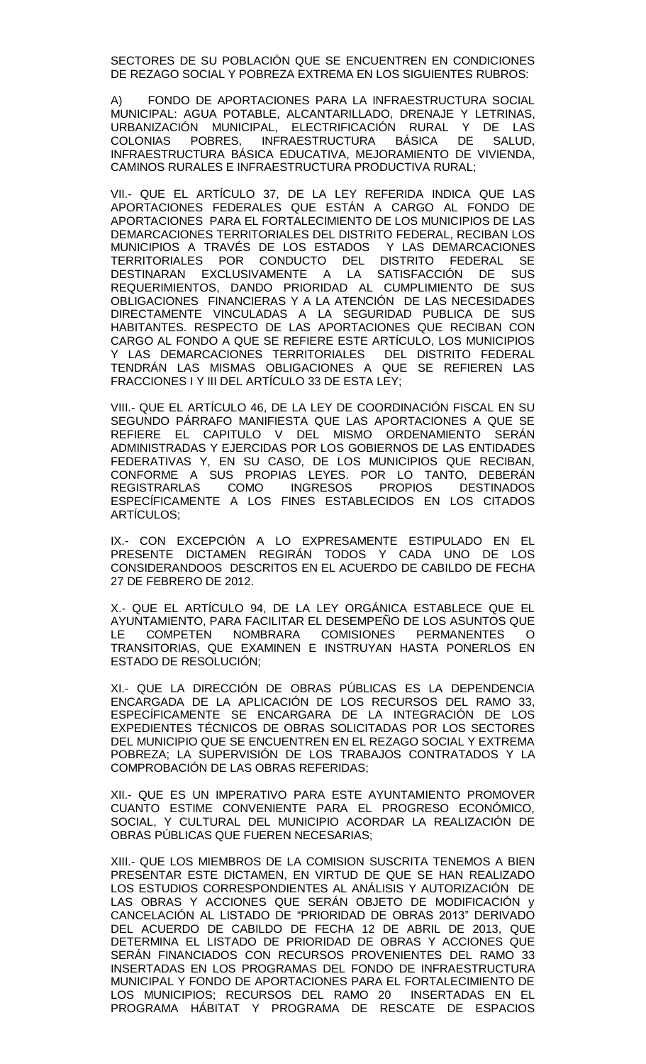SECTORES DE SU POBLACIÓN QUE SE ENCUENTREN EN CONDICIONES DE REZAGO SOCIAL Y POBREZA EXTREMA EN LOS SIGUIENTES RUBROS:

A) FONDO DE APORTACIONES PARA LA INFRAESTRUCTURA SOCIAL MUNICIPAL: AGUA POTABLE, ALCANTARILLADO, DRENAJE Y LETRINAS, URBANIZACIÓN MUNICIPAL, ELECTRIFICACIÓN RURAL Y DE LAS COLONIAS POBRES, INFRAESTRUCTURA BÁSICA DE SALUD, INFRAESTRUCTURA BÁSICA EDUCATIVA, MEJORAMIENTO DE VIVIENDA, CAMINOS RURALES E INFRAESTRUCTURA PRODUCTIVA RURAL;

VII.- QUE EL ARTÍCULO 37, DE LA LEY REFERIDA INDICA QUE LAS APORTACIONES FEDERALES QUE ESTÁN A CARGO AL FONDO DE APORTACIONES PARA EL FORTALECIMIENTO DE LOS MUNICIPIOS DE LAS DEMARCACIONES TERRITORIALES DEL DISTRITO FEDERAL, RECIBAN LOS MUNICIPIOS A TRAVÉS DE LOS ESTADOS Y LAS DEMARCACIONES TERRITORIALES POR CONDUCTO DEL DISTRITO FEDERAL SE DESTINARAN EXCLUSIVAMENTE A LA SATISFACCIÓN DE SUS REQUERIMIENTOS, DANDO PRIORIDAD AL CUMPLIMIENTO DE SUS OBLIGACIONES FINANCIERAS Y A LA ATENCIÓN DE LAS NECESIDADES DIRECTAMENTE VINCULADAS A LA SEGURIDAD PUBLICA DE SUS HABITANTES. RESPECTO DE LAS APORTACIONES QUE RECIBAN CON CARGO AL FONDO A QUE SE REFIERE ESTE ARTÍCULO, LOS MUNICIPIOS Y LAS DEMARCACIONES TERRITORIALES DEL DISTRITO FEDERAL TENDRÁN LAS MISMAS OBLIGACIONES A QUE SE REFIEREN LAS FRACCIONES I Y III DEL ARTÍCULO 33 DE ESTA LEY;

VIII.- QUE EL ARTÍCULO 46, DE LA LEY DE COORDINACIÓN FISCAL EN SU SEGUNDO PÁRRAFO MANIFIESTA QUE LAS APORTACIONES A QUE SE REFIERE EL CAPITULO V DEL MISMO ORDENAMIENTO SERÁN ADMINISTRADAS Y EJERCIDAS POR LOS GOBIERNOS DE LAS ENTIDADES FEDERATIVAS Y, EN SU CASO, DE LOS MUNICIPIOS QUE RECIBAN, CONFORME A SUS PROPIAS LEYES. POR LO TANTO, DEBERÁN REGISTRARLAS COMO INGRESOS PROPIOS DESTINADOS ESPECÍFICAMENTE A LOS FINES ESTABLECIDOS EN LOS CITADOS ARTÍCULOS;

IX.- CON EXCEPCIÓN A LO EXPRESAMENTE ESTIPULADO EN EL PRESENTE DICTAMEN REGIRÁN TODOS Y CADA UNO DE LOS CONSIDERANDOOS DESCRITOS EN EL ACUERDO DE CABILDO DE FECHA 27 DE FEBRERO DE 2012.

X.- QUE EL ARTÍCULO 94, DE LA LEY ORGÁNICA ESTABLECE QUE EL AYUNTAMIENTO, PARA FACILITAR EL DESEMPEÑO DE LOS ASUNTOS QUE LE COMPETEN NOMBRARA COMISIONES PERMANENTES O TRANSITORIAS, QUE EXAMINEN E INSTRUYAN HASTA PONERLOS EN ESTADO DE RESOLUCIÓN;

XI.- QUE LA DIRECCIÓN DE OBRAS PÚBLICAS ES LA DEPENDENCIA ENCARGADA DE LA APLICACIÓN DE LOS RECURSOS DEL RAMO 33, ESPECÍFICAMENTE SE ENCARGARA DE LA INTEGRACIÓN DE LOS EXPEDIENTES TÉCNICOS DE OBRAS SOLICITADAS POR LOS SECTORES DEL MUNICIPIO QUE SE ENCUENTREN EN EL REZAGO SOCIAL Y EXTREMA POBREZA; LA SUPERVISIÓN DE LOS TRABAJOS CONTRATADOS Y LA COMPROBACIÓN DE LAS OBRAS REFERIDAS;

XII.- QUE ES UN IMPERATIVO PARA ESTE AYUNTAMIENTO PROMOVER CUANTO ESTIME CONVENIENTE PARA EL PROGRESO ECONÓMICO, SOCIAL, Y CULTURAL DEL MUNICIPIO ACORDAR LA REALIZACIÓN DE OBRAS PÚBLICAS QUE FUEREN NECESARIAS;

XIII.- QUE LOS MIEMBROS DE LA COMISION SUSCRITA TENEMOS A BIEN PRESENTAR ESTE DICTAMEN, EN VIRTUD DE QUE SE HAN REALIZADO LOS ESTUDIOS CORRESPONDIENTES AL ANÁLISIS Y AUTORIZACIÓN DE LAS OBRAS Y ACCIONES QUE SERÁN OBJETO DE MODIFICACIÓN y CANCELACIÓN AL LISTADO DE "PRIORIDAD DE OBRAS 2013" DERIVADO DEL ACUERDO DE CABILDO DE FECHA 12 DE ABRIL DE 2013, QUE DETERMINA EL LISTADO DE PRIORIDAD DE OBRAS Y ACCIONES QUE SERÁN FINANCIADOS CON RECURSOS PROVENIENTES DEL RAMO 33 INSERTADAS EN LOS PROGRAMAS DEL FONDO DE INFRAESTRUCTURA MUNICIPAL Y FONDO DE APORTACIONES PARA EL FORTALECIMIENTO DE LOS MUNICIPIOS; RECURSOS DEL RAMO 20 INSERTADAS EN EL PROGRAMA HÁBITAT Y PROGRAMA DE RESCATE DE ESPACIOS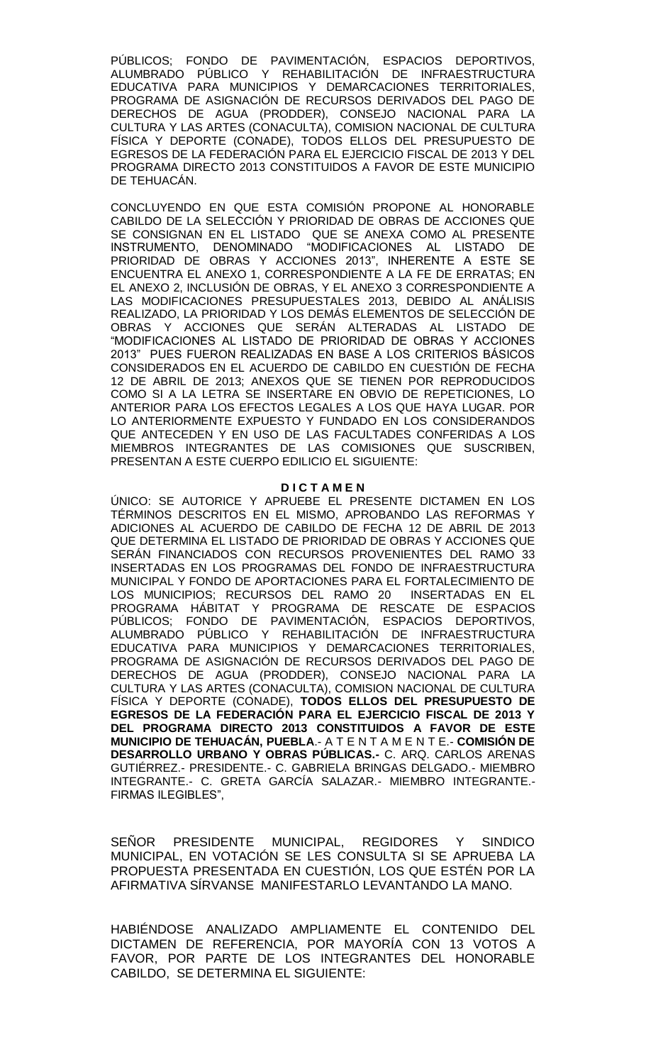PÚBLICOS; FONDO DE PAVIMENTACIÓN, ESPACIOS DEPORTIVOS, ALUMBRADO PÚBLICO Y REHABILITACIÓN DE INFRAESTRUCTURA EDUCATIVA PARA MUNICIPIOS Y DEMARCACIONES TERRITORIALES, PROGRAMA DE ASIGNACIÓN DE RECURSOS DERIVADOS DEL PAGO DE DERECHOS DE AGUA (PRODDER), CONSEJO NACIONAL PARA LA CULTURA Y LAS ARTES (CONACULTA), COMISION NACIONAL DE CULTURA FÍSICA Y DEPORTE (CONADE), TODOS ELLOS DEL PRESUPUESTO DE EGRESOS DE LA FEDERACIÓN PARA EL EJERCICIO FISCAL DE 2013 Y DEL PROGRAMA DIRECTO 2013 CONSTITUIDOS A FAVOR DE ESTE MUNICIPIO DE TEHUACÁN.

CONCLUYENDO EN QUE ESTA COMISIÓN PROPONE AL HONORABLE CABILDO DE LA SELECCIÓN Y PRIORIDAD DE OBRAS DE ACCIONES QUE SE CONSIGNAN EN EL LISTADO QUE SE ANEXA COMO AL PRESENTE INSTRUMENTO, DENOMINADO "MODIFICACIONES AL LISTADO DE PRIORIDAD DE OBRAS Y ACCIONES 2013", INHERENTE A ESTE SE ENCUENTRA EL ANEXO 1, CORRESPONDIENTE A LA FE DE ERRATAS; EN EL ANEXO 2, INCLUSIÓN DE OBRAS, Y EL ANEXO 3 CORRESPONDIENTE A LAS MODIFICACIONES PRESUPUESTALES 2013, DEBIDO AL ANÁLISIS REALIZADO, LA PRIORIDAD Y LOS DEMÁS ELEMENTOS DE SELECCIÓN DE OBRAS Y ACCIONES QUE SERÁN ALTERADAS AL LISTADO DE "MODIFICACIONES AL LISTADO DE PRIORIDAD DE OBRAS Y ACCIONES 2013" PUES FUERON REALIZADAS EN BASE A LOS CRITERIOS BÁSICOS CONSIDERADOS EN EL ACUERDO DE CABILDO EN CUESTIÓN DE FECHA 12 DE ABRIL DE 2013; ANEXOS QUE SE TIENEN POR REPRODUCIDOS COMO SI A LA LETRA SE INSERTARE EN OBVIO DE REPETICIONES, LO ANTERIOR PARA LOS EFECTOS LEGALES A LOS QUE HAYA LUGAR. POR LO ANTERIORMENTE EXPUESTO Y FUNDADO EN LOS CONSIDERANDOS QUE ANTECEDEN Y EN USO DE LAS FACULTADES CONFERIDAS A LOS MIEMBROS INTEGRANTES DE LAS COMISIONES QUE SUSCRIBEN, PRESENTAN A ESTE CUERPO EDILICIO EL SIGUIENTE:

#### **D I C T A M E N**

ÚNICO: SE AUTORICE Y APRUEBE EL PRESENTE DICTAMEN EN LOS TÉRMINOS DESCRITOS EN EL MISMO, APROBANDO LAS REFORMAS Y ADICIONES AL ACUERDO DE CABILDO DE FECHA 12 DE ABRIL DE 2013 QUE DETERMINA EL LISTADO DE PRIORIDAD DE OBRAS Y ACCIONES QUE SERÁN FINANCIADOS CON RECURSOS PROVENIENTES DEL RAMO 33 INSERTADAS EN LOS PROGRAMAS DEL FONDO DE INFRAESTRUCTURA MUNICIPAL Y FONDO DE APORTACIONES PARA EL FORTALECIMIENTO DE LOS MUNICIPIOS; RECURSOS DEL RAMO 20 INSERTADAS EN EL PROGRAMA HÁBITAT Y PROGRAMA DE RESCATE DE ESPACIOS PÚBLICOS; FONDO DE PAVIMENTACIÓN, ESPACIOS DEPORTIVOS, ALUMBRADO PÚBLICO Y REHABILITACIÓN DE INFRAESTRUCTURA EDUCATIVA PARA MUNICIPIOS Y DEMARCACIONES TERRITORIALES, PROGRAMA DE ASIGNACIÓN DE RECURSOS DERIVADOS DEL PAGO DE DERECHOS DE AGUA (PRODDER), CONSEJO NACIONAL PARA LA CULTURA Y LAS ARTES (CONACULTA), COMISION NACIONAL DE CULTURA FÍSICA Y DEPORTE (CONADE), **TODOS ELLOS DEL PRESUPUESTO DE EGRESOS DE LA FEDERACIÓN PARA EL EJERCICIO FISCAL DE 2013 Y DEL PROGRAMA DIRECTO 2013 CONSTITUIDOS A FAVOR DE ESTE MUNICIPIO DE TEHUACÁN, PUEBLA**.- A T E N T A M E N T E.- **COMISIÓN DE DESARROLLO URBANO Y OBRAS PÚBLICAS.-** C. ARQ. CARLOS ARENAS GUTIÉRREZ.- PRESIDENTE.- C. GABRIELA BRINGAS DELGADO.- MIEMBRO INTEGRANTE.- C. GRETA GARCÍA SALAZAR.- MIEMBRO INTEGRANTE.- FIRMAS ILEGIBLES",

SEÑOR PRESIDENTE MUNICIPAL, REGIDORES Y SINDICO MUNICIPAL, EN VOTACIÓN SE LES CONSULTA SI SE APRUEBA LA PROPUESTA PRESENTADA EN CUESTIÓN, LOS QUE ESTÉN POR LA AFIRMATIVA SÍRVANSE MANIFESTARLO LEVANTANDO LA MANO.

HABIÉNDOSE ANALIZADO AMPLIAMENTE EL CONTENIDO DEL DICTAMEN DE REFERENCIA, POR MAYORÍA CON 13 VOTOS A FAVOR, POR PARTE DE LOS INTEGRANTES DEL HONORABLE CABILDO, SE DETERMINA EL SIGUIENTE: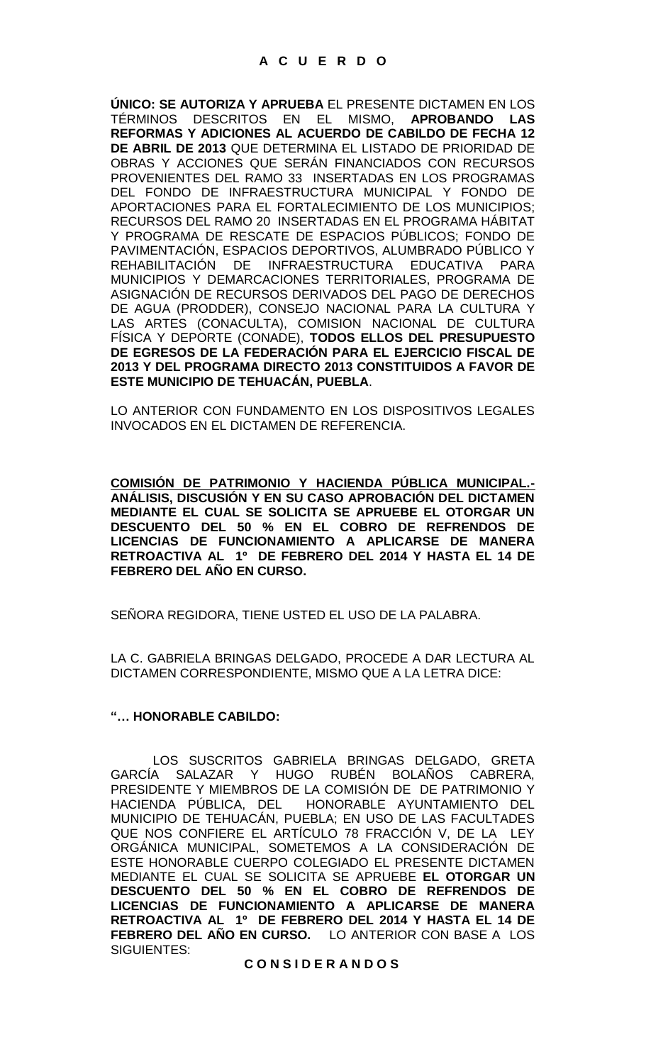**ÚNICO: SE AUTORIZA Y APRUEBA** EL PRESENTE DICTAMEN EN LOS TÉRMINOS DESCRITOS EN EL MISMO, **APROBANDO LAS REFORMAS Y ADICIONES AL ACUERDO DE CABILDO DE FECHA 12 DE ABRIL DE 2013** QUE DETERMINA EL LISTADO DE PRIORIDAD DE OBRAS Y ACCIONES QUE SERÁN FINANCIADOS CON RECURSOS PROVENIENTES DEL RAMO 33 INSERTADAS EN LOS PROGRAMAS DEL FONDO DE INFRAESTRUCTURA MUNICIPAL Y FONDO DE APORTACIONES PARA EL FORTALECIMIENTO DE LOS MUNICIPIOS; RECURSOS DEL RAMO 20 INSERTADAS EN EL PROGRAMA HÁBITAT Y PROGRAMA DE RESCATE DE ESPACIOS PÚBLICOS; FONDO DE PAVIMENTACIÓN, ESPACIOS DEPORTIVOS, ALUMBRADO PÚBLICO Y REHABILITACIÓN DE INFRAESTRUCTURA EDUCATIVA PARA MUNICIPIOS Y DEMARCACIONES TERRITORIALES, PROGRAMA DE ASIGNACIÓN DE RECURSOS DERIVADOS DEL PAGO DE DERECHOS DE AGUA (PRODDER), CONSEJO NACIONAL PARA LA CULTURA Y LAS ARTES (CONACULTA), COMISION NACIONAL DE CULTURA FÍSICA Y DEPORTE (CONADE), **TODOS ELLOS DEL PRESUPUESTO DE EGRESOS DE LA FEDERACIÓN PARA EL EJERCICIO FISCAL DE 2013 Y DEL PROGRAMA DIRECTO 2013 CONSTITUIDOS A FAVOR DE ESTE MUNICIPIO DE TEHUACÁN, PUEBLA**.

LO ANTERIOR CON FUNDAMENTO EN LOS DISPOSITIVOS LEGALES INVOCADOS EN EL DICTAMEN DE REFERENCIA.

**COMISIÓN DE PATRIMONIO Y HACIENDA PÚBLICA MUNICIPAL.- ANÁLISIS, DISCUSIÓN Y EN SU CASO APROBACIÓN DEL DICTAMEN MEDIANTE EL CUAL SE SOLICITA SE APRUEBE EL OTORGAR UN DESCUENTO DEL 50 % EN EL COBRO DE REFRENDOS DE LICENCIAS DE FUNCIONAMIENTO A APLICARSE DE MANERA RETROACTIVA AL 1º DE FEBRERO DEL 2014 Y HASTA EL 14 DE FEBRERO DEL AÑO EN CURSO.** 

SEÑORA REGIDORA, TIENE USTED EL USO DE LA PALABRA.

LA C. GABRIELA BRINGAS DELGADO, PROCEDE A DAR LECTURA AL DICTAMEN CORRESPONDIENTE, MISMO QUE A LA LETRA DICE:

#### **"… HONORABLE CABILDO:**

 LOS SUSCRITOS GABRIELA BRINGAS DELGADO, GRETA GARCÍA SALAZAR Y HUGO RUBÉN BOLAÑOS CABRERA, PRESIDENTE Y MIEMBROS DE LA COMISIÓN DE DE PATRIMONIO Y HACIENDA PÚBLICA, DEL HONORABLE AYUNTAMIENTO DEL MUNICIPIO DE TEHUACÁN, PUEBLA; EN USO DE LAS FACULTADES QUE NOS CONFIERE EL ARTÍCULO 78 FRACCIÓN V, DE LA LEY ORGÁNICA MUNICIPAL, SOMETEMOS A LA CONSIDERACIÓN DE ESTE HONORABLE CUERPO COLEGIADO EL PRESENTE DICTAMEN MEDIANTE EL CUAL SE SOLICITA SE APRUEBE **EL OTORGAR UN DESCUENTO DEL 50 % EN EL COBRO DE REFRENDOS DE LICENCIAS DE FUNCIONAMIENTO A APLICARSE DE MANERA RETROACTIVA AL 1º DE FEBRERO DEL 2014 Y HASTA EL 14 DE FEBRERO DEL AÑO EN CURSO.** LO ANTERIOR CON BASE A LOS SIGUIENTES:

**C O N S I D E R A N D O S**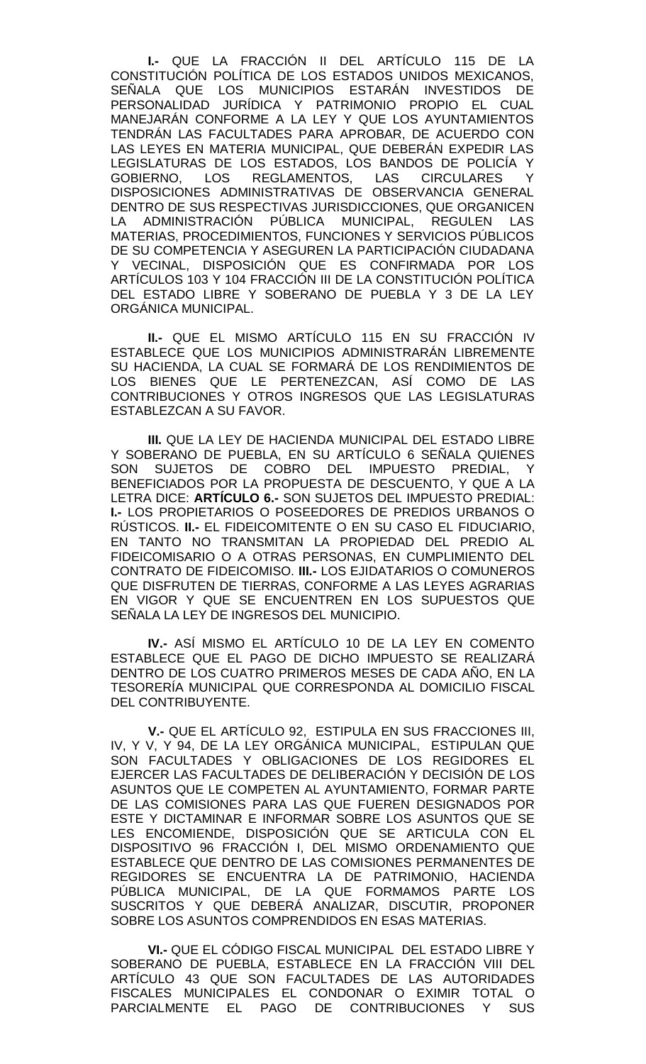**I.-** QUE LA FRACCIÓN II DEL ARTÍCULO 115 DE LA CONSTITUCIÓN POLÍTICA DE LOS ESTADOS UNIDOS MEXICANOS, SEÑALA QUE LOS MUNICIPIOS ESTARÁN INVESTIDOS DE PERSONALIDAD JURÍDICA Y PATRIMONIO PROPIO EL CUAL MANEJARÁN CONFORME A LA LEY Y QUE LOS AYUNTAMIENTOS TENDRÁN LAS FACULTADES PARA APROBAR, DE ACUERDO CON LAS LEYES EN MATERIA MUNICIPAL, QUE DEBERÁN EXPEDIR LAS LEGISLATURAS DE LOS ESTADOS, LOS BANDOS DE POLICÍA Y GOBIERNO, LOS REGLAMENTOS, LAS CIRCULARES Y DISPOSICIONES ADMINISTRATIVAS DE OBSERVANCIA GENERAL DENTRO DE SUS RESPECTIVAS JURISDICCIONES, QUE ORGANICEN LA ADMINISTRACIÓN PÚBLICA MUNICIPAL, REGULEN LAS MATERIAS, PROCEDIMIENTOS, FUNCIONES Y SERVICIOS PÚBLICOS DE SU COMPETENCIA Y ASEGUREN LA PARTICIPACIÓN CIUDADANA Y VECINAL, DISPOSICIÓN QUE ES CONFIRMADA POR LOS ARTÍCULOS 103 Y 104 FRACCIÓN III DE LA CONSTITUCIÓN POLÍTICA DEL ESTADO LIBRE Y SOBERANO DE PUEBLA Y 3 DE LA LEY ORGÁNICA MUNICIPAL.

**II.-** QUE EL MISMO ARTÍCULO 115 EN SU FRACCIÓN IV ESTABLECE QUE LOS MUNICIPIOS ADMINISTRARÁN LIBREMENTE SU HACIENDA, LA CUAL SE FORMARÁ DE LOS RENDIMIENTOS DE LOS BIENES QUE LE PERTENEZCAN, ASÍ COMO DE LAS CONTRIBUCIONES Y OTROS INGRESOS QUE LAS LEGISLATURAS ESTABLEZCAN A SU FAVOR.

**III.** QUE LA LEY DE HACIENDA MUNICIPAL DEL ESTADO LIBRE Y SOBERANO DE PUEBLA, EN SU ARTÍCULO 6 SEÑALA QUIENES SON SUJETOS DE COBRO DEL IMPUESTO PREDIAL, Y BENEFICIADOS POR LA PROPUESTA DE DESCUENTO, Y QUE A LA LETRA DICE: **ARTÍCULO 6.-** SON SUJETOS DEL IMPUESTO PREDIAL: **I.-** LOS PROPIETARIOS O POSEEDORES DE PREDIOS URBANOS O RÚSTICOS. **II.-** EL FIDEICOMITENTE O EN SU CASO EL FIDUCIARIO, EN TANTO NO TRANSMITAN LA PROPIEDAD DEL PREDIO AL FIDEICOMISARIO O A OTRAS PERSONAS, EN CUMPLIMIENTO DEL CONTRATO DE FIDEICOMISO. **III.-** LOS EJIDATARIOS O COMUNEROS QUE DISFRUTEN DE TIERRAS, CONFORME A LAS LEYES AGRARIAS EN VIGOR Y QUE SE ENCUENTREN EN LOS SUPUESTOS QUE SEÑALA LA LEY DE INGRESOS DEL MUNICIPIO.

**IV.-** ASÍ MISMO EL ARTÍCULO 10 DE LA LEY EN COMENTO ESTABLECE QUE EL PAGO DE DICHO IMPUESTO SE REALIZARÁ DENTRO DE LOS CUATRO PRIMEROS MESES DE CADA AÑO, EN LA TESORERÍA MUNICIPAL QUE CORRESPONDA AL DOMICILIO FISCAL DEL CONTRIBUYENTE.

**V.-** QUE EL ARTÍCULO 92, ESTIPULA EN SUS FRACCIONES III, IV, Y V, Y 94, DE LA LEY ORGÁNICA MUNICIPAL, ESTIPULAN QUE SON FACULTADES Y OBLIGACIONES DE LOS REGIDORES EL EJERCER LAS FACULTADES DE DELIBERACIÓN Y DECISIÓN DE LOS ASUNTOS QUE LE COMPETEN AL AYUNTAMIENTO, FORMAR PARTE DE LAS COMISIONES PARA LAS QUE FUEREN DESIGNADOS POR ESTE Y DICTAMINAR E INFORMAR SOBRE LOS ASUNTOS QUE SE LES ENCOMIENDE, DISPOSICIÓN QUE SE ARTICULA CON EL DISPOSITIVO 96 FRACCIÓN I, DEL MISMO ORDENAMIENTO QUE ESTABLECE QUE DENTRO DE LAS COMISIONES PERMANENTES DE REGIDORES SE ENCUENTRA LA DE PATRIMONIO, HACIENDA PÚBLICA MUNICIPAL, DE LA QUE FORMAMOS PARTE LOS SUSCRITOS Y QUE DEBERÁ ANALIZAR, DISCUTIR, PROPONER SOBRE LOS ASUNTOS COMPRENDIDOS EN ESAS MATERIAS.

**VI.-** QUE EL CÓDIGO FISCAL MUNICIPAL DEL ESTADO LIBRE Y SOBERANO DE PUEBLA, ESTABLECE EN LA FRACCIÓN VIII DEL ARTÍCULO 43 QUE SON FACULTADES DE LAS AUTORIDADES FISCALES MUNICIPALES EL CONDONAR O EXIMIR TOTAL O PARCIALMENTE EL PAGO DE CONTRIBUCIONES Y SUS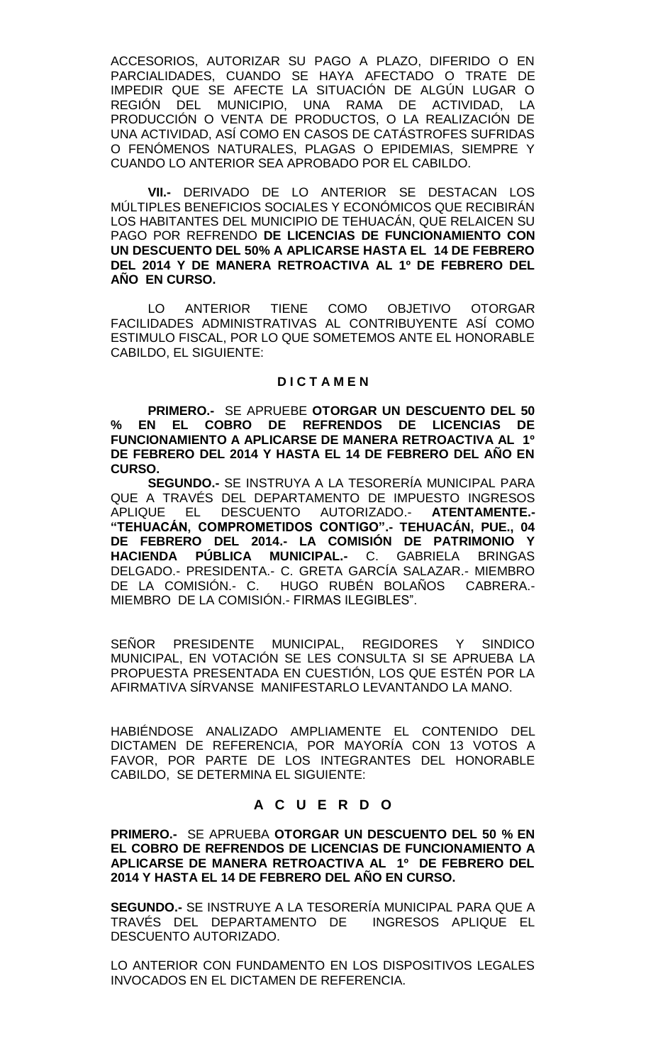ACCESORIOS, AUTORIZAR SU PAGO A PLAZO, DIFERIDO O EN PARCIALIDADES, CUANDO SE HAYA AFECTADO O TRATE DE IMPEDIR QUE SE AFECTE LA SITUACIÓN DE ALGÚN LUGAR O REGIÓN DEL MUNICIPIO, UNA RAMA DE ACTIVIDAD, LA PRODUCCIÓN O VENTA DE PRODUCTOS, O LA REALIZACIÓN DE UNA ACTIVIDAD, ASÍ COMO EN CASOS DE CATÁSTROFES SUFRIDAS O FENÓMENOS NATURALES, PLAGAS O EPIDEMIAS, SIEMPRE Y CUANDO LO ANTERIOR SEA APROBADO POR EL CABILDO.

**VII.-** DERIVADO DE LO ANTERIOR SE DESTACAN LOS MÚLTIPLES BENEFICIOS SOCIALES Y ECONÓMICOS QUE RECIBIRÁN LOS HABITANTES DEL MUNICIPIO DE TEHUACÁN, QUE RELAICEN SU PAGO POR REFRENDO **DE LICENCIAS DE FUNCIONAMIENTO CON UN DESCUENTO DEL 50% A APLICARSE HASTA EL 14 DE FEBRERO DEL 2014 Y DE MANERA RETROACTIVA AL 1º DE FEBRERO DEL AÑO EN CURSO.**

LO ANTERIOR TIENE COMO OBJETIVO OTORGAR FACILIDADES ADMINISTRATIVAS AL CONTRIBUYENTE ASÍ COMO ESTIMULO FISCAL, POR LO QUE SOMETEMOS ANTE EL HONORABLE CABILDO, EL SIGUIENTE:

## **D I C T A M E N**

**PRIMERO.-** SE APRUEBE **OTORGAR UN DESCUENTO DEL 50 % EN EL COBRO DE REFRENDOS DE LICENCIAS DE FUNCIONAMIENTO A APLICARSE DE MANERA RETROACTIVA AL 1º DE FEBRERO DEL 2014 Y HASTA EL 14 DE FEBRERO DEL AÑO EN CURSO.**

**SEGUNDO.-** SE INSTRUYA A LA TESORERÍA MUNICIPAL PARA QUE A TRAVÉS DEL DEPARTAMENTO DE IMPUESTO INGRESOS APLIQUE EL DESCUENTO AUTORIZADO.- **ATENTAMENTE.- "TEHUACÁN, COMPROMETIDOS CONTIGO".- TEHUACÁN, PUE., 04 DE FEBRERO DEL 2014.- LA COMISIÓN DE PATRIMONIO Y HACIENDA PÚBLICA MUNICIPAL.-** C. GABRIELA BRINGAS DELGADO.- PRESIDENTA.- C. GRETA GARCÍA SALAZAR.- MIEMBRO DE LA COMISIÓN.- C. HUGO RUBÉN BOLAÑOS CABRERA.- MIEMBRO DE LA COMISIÓN.- FIRMAS ILEGIBLES".

SEÑOR PRESIDENTE MUNICIPAL, REGIDORES Y SINDICO MUNICIPAL, EN VOTACIÓN SE LES CONSULTA SI SE APRUEBA LA PROPUESTA PRESENTADA EN CUESTIÓN, LOS QUE ESTÉN POR LA AFIRMATIVA SÍRVANSE MANIFESTARLO LEVANTANDO LA MANO.

HABIÉNDOSE ANALIZADO AMPLIAMENTE EL CONTENIDO DEL DICTAMEN DE REFERENCIA, POR MAYORÍA CON 13 VOTOS A FAVOR, POR PARTE DE LOS INTEGRANTES DEL HONORABLE CABILDO, SE DETERMINA EL SIGUIENTE:

# **A C U E R D O**

**PRIMERO.-** SE APRUEBA **OTORGAR UN DESCUENTO DEL 50 % EN EL COBRO DE REFRENDOS DE LICENCIAS DE FUNCIONAMIENTO A APLICARSE DE MANERA RETROACTIVA AL 1º DE FEBRERO DEL 2014 Y HASTA EL 14 DE FEBRERO DEL AÑO EN CURSO.**

**SEGUNDO.-** SE INSTRUYE A LA TESORERÍA MUNICIPAL PARA QUE A TRAVÉS DEL DEPARTAMENTO DE INGRESOS APLIQUE EL DESCUENTO AUTORIZADO.

LO ANTERIOR CON FUNDAMENTO EN LOS DISPOSITIVOS LEGALES INVOCADOS EN EL DICTAMEN DE REFERENCIA.